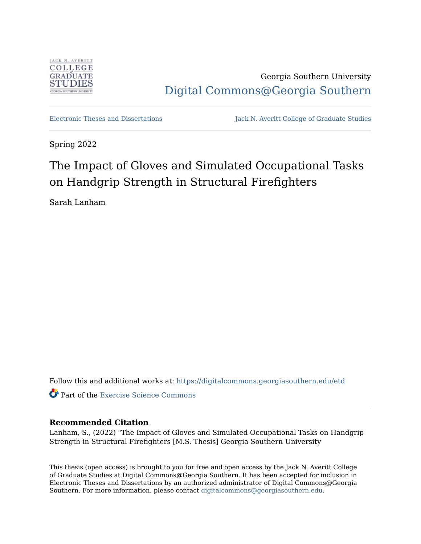

Georgia Southern University [Digital Commons@Georgia Southern](https://digitalcommons.georgiasouthern.edu/) 

[Electronic Theses and Dissertations](https://digitalcommons.georgiasouthern.edu/etd) Jack N. Averitt College of Graduate Studies

Spring 2022

# The Impact of Gloves and Simulated Occupational Tasks on Handgrip Strength in Structural Firefighters

Sarah Lanham

Follow this and additional works at: [https://digitalcommons.georgiasouthern.edu/etd](https://digitalcommons.georgiasouthern.edu/etd?utm_source=digitalcommons.georgiasouthern.edu%2Fetd%2F2421&utm_medium=PDF&utm_campaign=PDFCoverPages) 

**Part of the Exercise Science Commons** 

## **Recommended Citation**

Lanham, S., (2022) "The Impact of Gloves and Simulated Occupational Tasks on Handgrip Strength in Structural Firefighters [M.S. Thesis] Georgia Southern University

This thesis (open access) is brought to you for free and open access by the Jack N. Averitt College of Graduate Studies at Digital Commons@Georgia Southern. It has been accepted for inclusion in Electronic Theses and Dissertations by an authorized administrator of Digital Commons@Georgia Southern. For more information, please contact [digitalcommons@georgiasouthern.edu](mailto:digitalcommons@georgiasouthern.edu).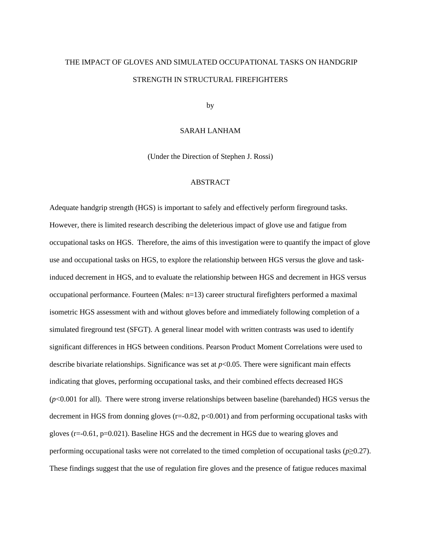# THE IMPACT OF GLOVES AND SIMULATED OCCUPATIONAL TASKS ON HANDGRIP STRENGTH IN STRUCTURAL FIREFIGHTERS

by

#### SARAH LANHAM

(Under the Direction of Stephen J. Rossi)

### ABSTRACT

Adequate handgrip strength (HGS) is important to safely and effectively perform fireground tasks. However, there is limited research describing the deleterious impact of glove use and fatigue from occupational tasks on HGS. Therefore, the aims of this investigation were to quantify the impact of glove use and occupational tasks on HGS, to explore the relationship between HGS versus the glove and taskinduced decrement in HGS, and to evaluate the relationship between HGS and decrement in HGS versus occupational performance. Fourteen (Males: n=13) career structural firefighters performed a maximal isometric HGS assessment with and without gloves before and immediately following completion of a simulated fireground test (SFGT). A general linear model with written contrasts was used to identify significant differences in HGS between conditions. Pearson Product Moment Correlations were used to describe bivariate relationships. Significance was set at  $p<0.05$ . There were significant main effects indicating that gloves, performing occupational tasks, and their combined effects decreased HGS (*p*<0.001 for all). There were strong inverse relationships between baseline (barehanded) HGS versus the decrement in HGS from donning gloves  $(r=0.82, p<0.001)$  and from performing occupational tasks with gloves (r=-0.61, p=0.021). Baseline HGS and the decrement in HGS due to wearing gloves and performing occupational tasks were not correlated to the timed completion of occupational tasks (*p*≥0.27). These findings suggest that the use of regulation fire gloves and the presence of fatigue reduces maximal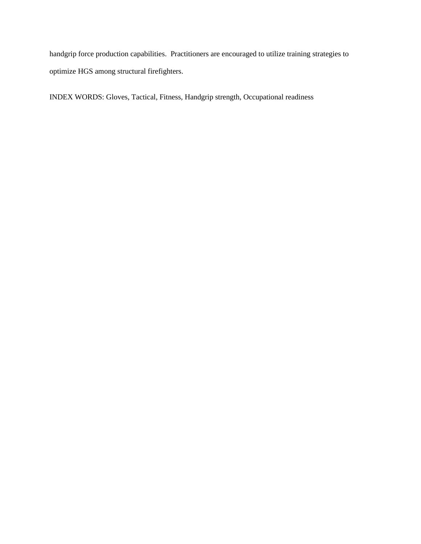handgrip force production capabilities. Practitioners are encouraged to utilize training strategies to optimize HGS among structural firefighters.

INDEX WORDS: Gloves, Tactical, Fitness, Handgrip strength, Occupational readiness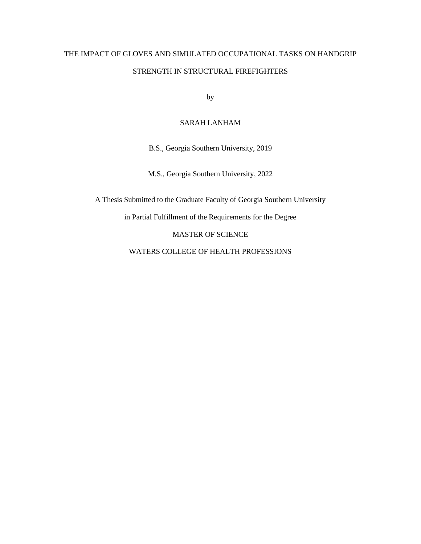# THE IMPACT OF GLOVES AND SIMULATED OCCUPATIONAL TASKS ON HANDGRIP STRENGTH IN STRUCTURAL FIREFIGHTERS

by

## SARAH LANHAM

B.S., Georgia Southern University, 2019

M.S., Georgia Southern University, 2022

A Thesis Submitted to the Graduate Faculty of Georgia Southern University

in Partial Fulfillment of the Requirements for the Degree

MASTER OF SCIENCE

WATERS COLLEGE OF HEALTH PROFESSIONS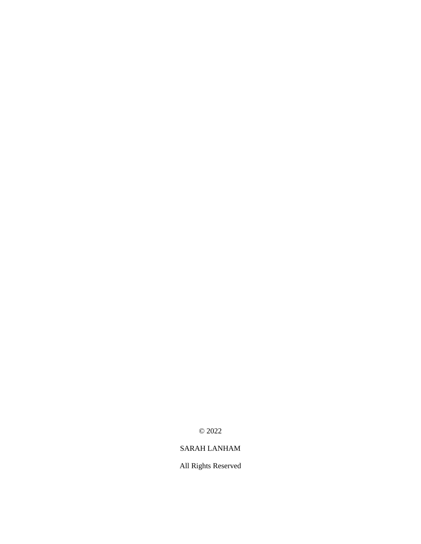© 2022

# SARAH LANHAM

All Rights Reserved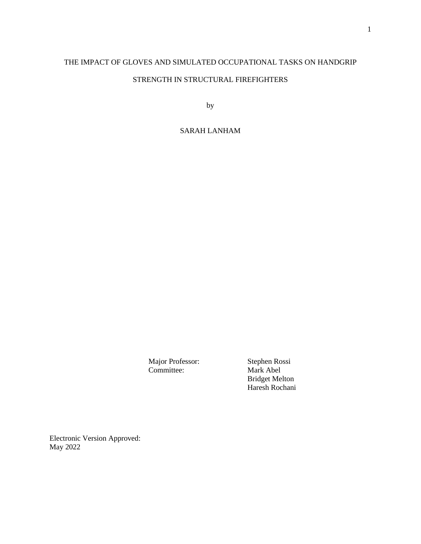# THE IMPACT OF GLOVES AND SIMULATED OCCUPATIONAL TASKS ON HANDGRIP

# STRENGTH IN STRUCTURAL FIREFIGHTERS

by

# SARAH LANHAM

Major Professor: Stephen Rossi<br>
Committee: Mark Abel Mark Abel Bridget Melton Haresh Rochani

Electronic Version Approved: May 2022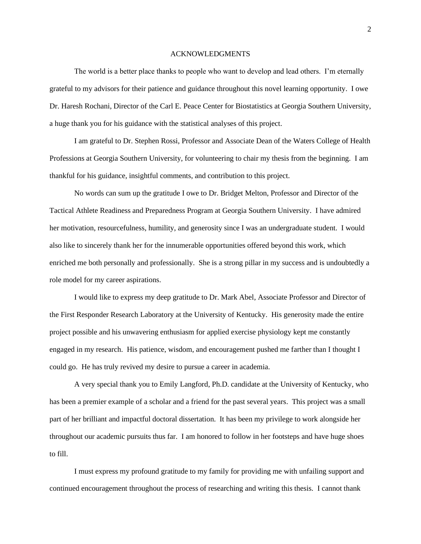#### ACKNOWLEDGMENTS

The world is a better place thanks to people who want to develop and lead others. I'm eternally grateful to my advisors for their patience and guidance throughout this novel learning opportunity. I owe Dr. Haresh Rochani, Director of the Carl E. Peace Center for Biostatistics at Georgia Southern University, a huge thank you for his guidance with the statistical analyses of this project.

I am grateful to Dr. Stephen Rossi, Professor and Associate Dean of the Waters College of Health Professions at Georgia Southern University, for volunteering to chair my thesis from the beginning. I am thankful for his guidance, insightful comments, and contribution to this project.

No words can sum up the gratitude I owe to Dr. Bridget Melton, Professor and Director of the Tactical Athlete Readiness and Preparedness Program at Georgia Southern University. I have admired her motivation, resourcefulness, humility, and generosity since I was an undergraduate student. I would also like to sincerely thank her for the innumerable opportunities offered beyond this work, which enriched me both personally and professionally. She is a strong pillar in my success and is undoubtedly a role model for my career aspirations.

I would like to express my deep gratitude to Dr. Mark Abel, Associate Professor and Director of the First Responder Research Laboratory at the University of Kentucky. His generosity made the entire project possible and his unwavering enthusiasm for applied exercise physiology kept me constantly engaged in my research. His patience, wisdom, and encouragement pushed me farther than I thought I could go. He has truly revived my desire to pursue a career in academia.

A very special thank you to Emily Langford, Ph.D. candidate at the University of Kentucky, who has been a premier example of a scholar and a friend for the past several years. This project was a small part of her brilliant and impactful doctoral dissertation. It has been my privilege to work alongside her throughout our academic pursuits thus far. I am honored to follow in her footsteps and have huge shoes to fill.

I must express my profound gratitude to my family for providing me with unfailing support and continued encouragement throughout the process of researching and writing this thesis. I cannot thank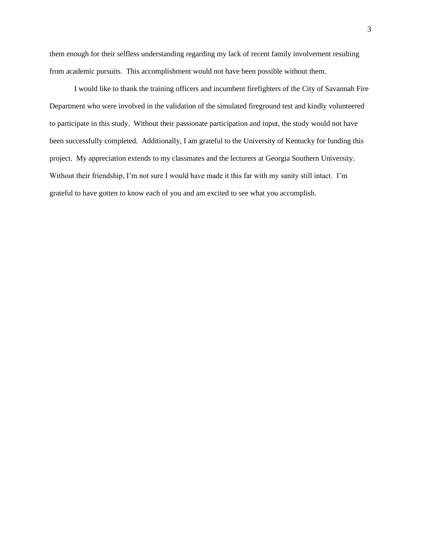them enough for their selfless understanding regarding my lack of recent family involvement resulting from academic pursuits. This accomplishment would not have been possible without them.

I would like to thank the training officers and incumbent firefighters of the City of Savannah Fire Department who were involved in the validation of the simulated fireground test and kindly volunteered to participate in this study. Without their passionate participation and input, the study would not have been successfully completed. Additionally, I am grateful to the University of Kentucky for funding this project. My appreciation extends to my classmates and the lecturers at Georgia Southern University. Without their friendship, I'm not sure I would have made it this far with my sanity still intact. I'm grateful to have gotten to know each of you and am excited to see what you accomplish.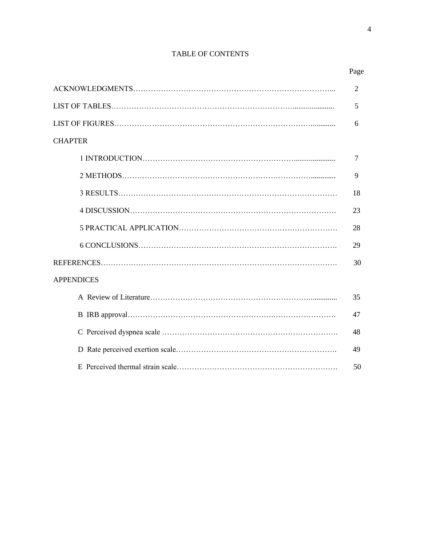# TABLE OF CONTENTS

|                   | $\overline{2}$ |
|-------------------|----------------|
|                   | 5              |
|                   | 6              |
| <b>CHAPTER</b>    |                |
|                   | 7              |
|                   | 9              |
|                   | 18             |
|                   | 23             |
|                   | 28             |
|                   | 29             |
|                   | 30             |
| <b>APPENDICES</b> |                |
|                   | 35             |
|                   | 47             |
|                   | 48             |
|                   | 49             |
|                   | 50             |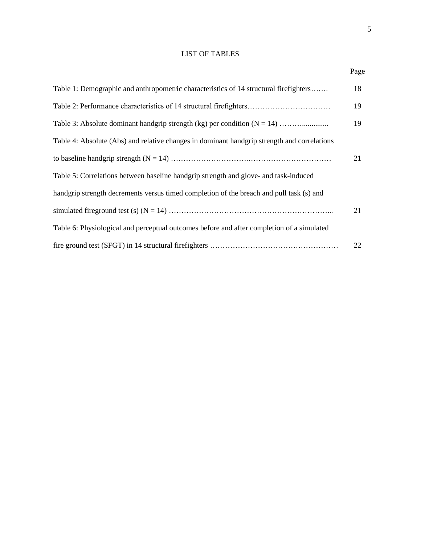# LIST OF TABLES

| Table 1: Demographic and anthropometric characteristics of 14 structural firefighters       | 18 |
|---------------------------------------------------------------------------------------------|----|
| Table 2: Performance characteristics of 14 structural firefighters                          | 19 |
|                                                                                             | 19 |
| Table 4: Absolute (Abs) and relative changes in dominant handgrip strength and correlations |    |
|                                                                                             | 21 |
| Table 5: Correlations between baseline handgrip strength and glove- and task-induced        |    |
| handgrip strength decrements versus timed completion of the breach and pull task (s) and    |    |
|                                                                                             | 21 |
| Table 6: Physiological and perceptual outcomes before and after completion of a simulated   |    |
|                                                                                             | 22 |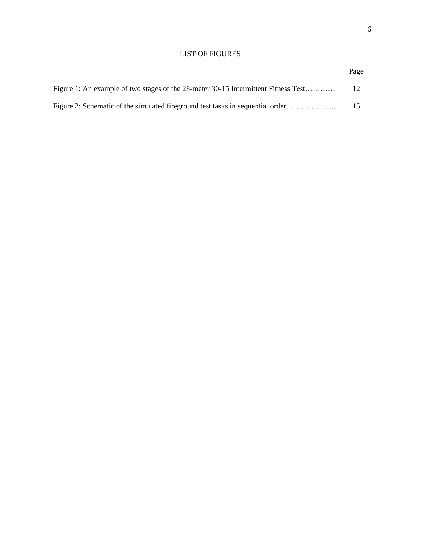## LIST OF FIGURES

|                                                                                    | Page |
|------------------------------------------------------------------------------------|------|
| Figure 1: An example of two stages of the 28-meter 30-15 Intermittent Fitness Test | 12   |
| Figure 2: Schematic of the simulated fireground test tasks in sequential order     | 15   |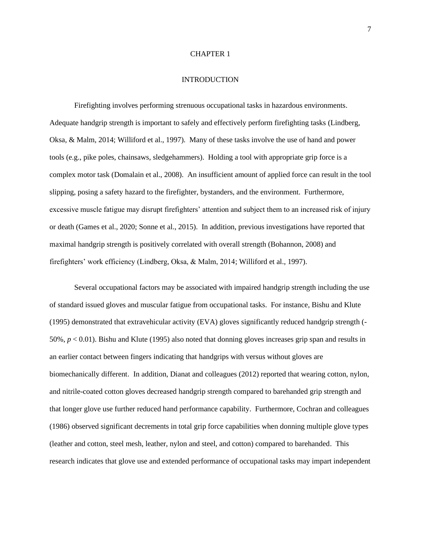#### CHAPTER 1

#### INTRODUCTION

Firefighting involves performing strenuous occupational tasks in hazardous environments. Adequate handgrip strength is important to safely and effectively perform firefighting tasks (Lindberg, Oksa, & Malm, 2014; Williford et al., 1997). Many of these tasks involve the use of hand and power tools (e.g., pike poles, chainsaws, sledgehammers). Holding a tool with appropriate grip force is a complex motor task (Domalain et al., 2008). An insufficient amount of applied force can result in the tool slipping, posing a safety hazard to the firefighter, bystanders, and the environment. Furthermore, excessive muscle fatigue may disrupt firefighters' attention and subject them to an increased risk of injury or death (Games et al., 2020; Sonne et al., 2015). In addition, previous investigations have reported that maximal handgrip strength is positively correlated with overall strength (Bohannon, 2008) and firefighters' work efficiency (Lindberg, Oksa, & Malm, 2014; Williford et al., 1997).

Several occupational factors may be associated with impaired handgrip strength including the use of standard issued gloves and muscular fatigue from occupational tasks. For instance, Bishu and Klute (1995) demonstrated that extravehicular activity (EVA) gloves significantly reduced handgrip strength (- 50%, *p* < 0.01). Bishu and Klute (1995) also noted that donning gloves increases grip span and results in an earlier contact between fingers indicating that handgrips with versus without gloves are biomechanically different. In addition, Dianat and colleagues (2012) reported that wearing cotton, nylon, and nitrile-coated cotton gloves decreased handgrip strength compared to barehanded grip strength and that longer glove use further reduced hand performance capability. Furthermore, Cochran and colleagues (1986) observed significant decrements in total grip force capabilities when donning multiple glove types (leather and cotton, steel mesh, leather, nylon and steel, and cotton) compared to barehanded. This research indicates that glove use and extended performance of occupational tasks may impart independent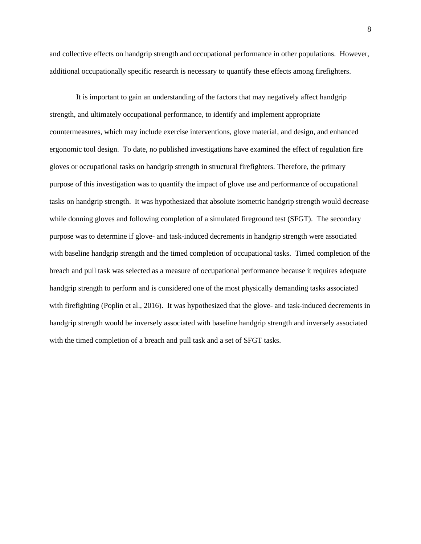and collective effects on handgrip strength and occupational performance in other populations. However, additional occupationally specific research is necessary to quantify these effects among firefighters.

It is important to gain an understanding of the factors that may negatively affect handgrip strength, and ultimately occupational performance, to identify and implement appropriate countermeasures, which may include exercise interventions, glove material, and design, and enhanced ergonomic tool design. To date, no published investigations have examined the effect of regulation fire gloves or occupational tasks on handgrip strength in structural firefighters. Therefore, the primary purpose of this investigation was to quantify the impact of glove use and performance of occupational tasks on handgrip strength. It was hypothesized that absolute isometric handgrip strength would decrease while donning gloves and following completion of a simulated fireground test (SFGT). The secondary purpose was to determine if glove- and task-induced decrements in handgrip strength were associated with baseline handgrip strength and the timed completion of occupational tasks. Timed completion of the breach and pull task was selected as a measure of occupational performance because it requires adequate handgrip strength to perform and is considered one of the most physically demanding tasks associated with firefighting (Poplin et al., 2016). It was hypothesized that the glove- and task-induced decrements in handgrip strength would be inversely associated with baseline handgrip strength and inversely associated with the timed completion of a breach and pull task and a set of SFGT tasks.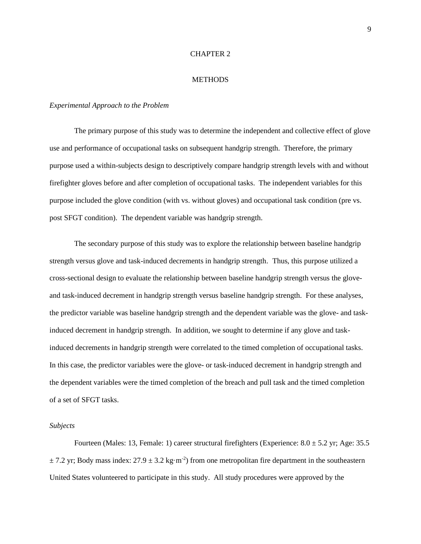#### CHAPTER 2

#### **METHODS**

#### *Experimental Approach to the Problem*

The primary purpose of this study was to determine the independent and collective effect of glove use and performance of occupational tasks on subsequent handgrip strength. Therefore, the primary purpose used a within-subjects design to descriptively compare handgrip strength levels with and without firefighter gloves before and after completion of occupational tasks. The independent variables for this purpose included the glove condition (with vs. without gloves) and occupational task condition (pre vs. post SFGT condition). The dependent variable was handgrip strength.

The secondary purpose of this study was to explore the relationship between baseline handgrip strength versus glove and task-induced decrements in handgrip strength. Thus, this purpose utilized a cross-sectional design to evaluate the relationship between baseline handgrip strength versus the gloveand task-induced decrement in handgrip strength versus baseline handgrip strength. For these analyses, the predictor variable was baseline handgrip strength and the dependent variable was the glove- and taskinduced decrement in handgrip strength. In addition, we sought to determine if any glove and taskinduced decrements in handgrip strength were correlated to the timed completion of occupational tasks. In this case, the predictor variables were the glove- or task-induced decrement in handgrip strength and the dependent variables were the timed completion of the breach and pull task and the timed completion of a set of SFGT tasks.

#### *Subjects*

Fourteen (Males: 13, Female: 1) career structural firefighters (Experience:  $8.0 \pm 5.2$  yr; Age: 35.5  $\pm$  7.2 yr; Body mass index: 27.9  $\pm$  3.2 kg·m<sup>-2</sup>) from one metropolitan fire department in the southeastern United States volunteered to participate in this study. All study procedures were approved by the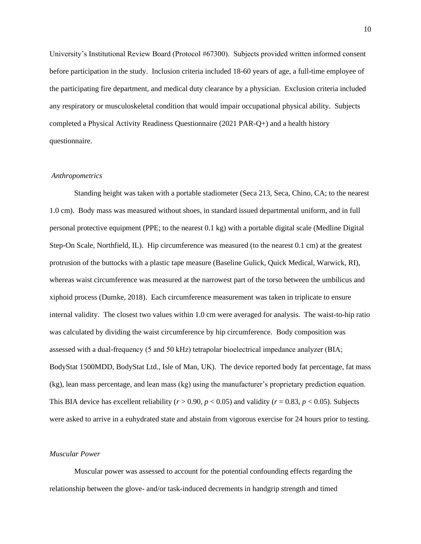University's Institutional Review Board (Protocol #67300). Subjects provided written informed consent before participation in the study. Inclusion criteria included 18-60 years of age, a full-time employee of the participating fire department, and medical duty clearance by a physician. Exclusion criteria included any respiratory or musculoskeletal condition that would impair occupational physical ability. Subjects completed a Physical Activity Readiness Questionnaire (2021 PAR-Q+) and a health history questionnaire.

#### *Anthropometrics*

Standing height was taken with a portable stadiometer (Seca 213, Seca, Chino, CA; to the nearest 1.0 cm). Body mass was measured without shoes, in standard issued departmental uniform, and in full personal protective equipment (PPE; to the nearest 0.1 kg) with a portable digital scale (Medline Digital Step-On Scale, Northfield, IL). Hip circumference was measured (to the nearest 0.1 cm) at the greatest protrusion of the buttocks with a plastic tape measure (Baseline Gulick, Quick Medical, Warwick, RI), whereas waist circumference was measured at the narrowest part of the torso between the umbilicus and xiphoid process (Dumke, 2018). Each circumference measurement was taken in triplicate to ensure internal validity. The closest two values within 1.0 cm were averaged for analysis. The waist-to-hip ratio was calculated by dividing the waist circumference by hip circumference. Body composition was assessed with a dual-frequency (5 and 50 kHz) tetrapolar bioelectrical impedance analyzer (BIA; BodyStat 1500MDD, BodyStat Ltd., Isle of Man, UK). The device reported body fat percentage, fat mass (kg), lean mass percentage, and lean mass (kg) using the manufacturer's proprietary prediction equation. This BIA device has excellent reliability ( $r > 0.90$ ,  $p < 0.05$ ) and validity ( $r = 0.83$ ,  $p < 0.05$ ). Subjects were asked to arrive in a euhydrated state and abstain from vigorous exercise for 24 hours prior to testing.

## *Muscular Power*

Muscular power was assessed to account for the potential confounding effects regarding the relationship between the glove- and/or task-induced decrements in handgrip strength and timed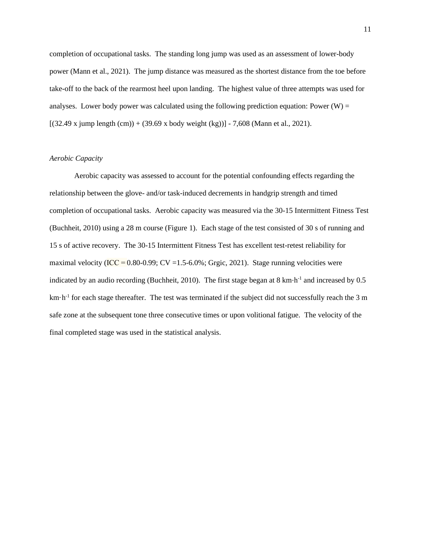completion of occupational tasks. The standing long jump was used as an assessment of lower-body power (Mann et al., 2021). The jump distance was measured as the shortest distance from the toe before take-off to the back of the rearmost heel upon landing. The highest value of three attempts was used for analyses. Lower body power was calculated using the following prediction equation: Power  $(W)$  =  $[(32.49 \times \text{jump length (cm)}) + (39.69 \times \text{body weight (kg)}) - 7,608 \times \text{Mann et al., } 2021).$ 

## *Aerobic Capacity*

Aerobic capacity was assessed to account for the potential confounding effects regarding the relationship between the glove- and/or task-induced decrements in handgrip strength and timed completion of occupational tasks. Aerobic capacity was measured via the 30-15 Intermittent Fitness Test (Buchheit, 2010) using a 28 m course (Figure 1). Each stage of the test consisted of 30 s of running and 15 s of active recovery. The 30-15 Intermittent Fitness Test has excellent test-retest reliability for maximal velocity (ICC =  $0.80-0.99$ ; CV = 1.5-6.0%; Grgic, 2021). Stage running velocities were indicated by an audio recording (Buchheit, 2010). The first stage began at  $8 \text{ km} \cdot \text{h}^{-1}$  and increased by 0.5  $km \cdot h^{-1}$  for each stage thereafter. The test was terminated if the subject did not successfully reach the 3 m safe zone at the subsequent tone three consecutive times or upon volitional fatigue. The velocity of the final completed stage was used in the statistical analysis.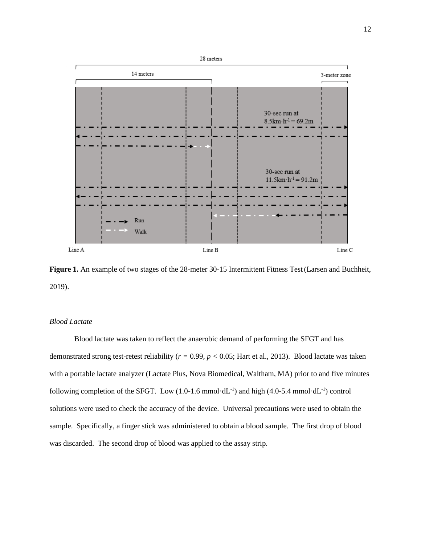

**Figure 1.** An example of two stages of the 28-meter 30-15 Intermittent Fitness Test(Larsen and Buchheit, 2019).

### *Blood Lactate*

Blood lactate was taken to reflect the anaerobic demand of performing the SFGT and has demonstrated strong test-retest reliability (*r =* 0.99*, p <* 0.05; Hart et al., 2013). Blood lactate was taken with a portable lactate analyzer (Lactate Plus, Nova Biomedical, Waltham, MA) prior to and five minutes following completion of the SFGT. Low  $(1.0\n-1.6 \text{ mmol} \cdot dL^{-1})$  and high  $(4.0\n-5.4 \text{ mmol} \cdot dL^{-1})$  control solutions were used to check the accuracy of the device. Universal precautions were used to obtain the sample. Specifically, a finger stick was administered to obtain a blood sample. The first drop of blood was discarded. The second drop of blood was applied to the assay strip.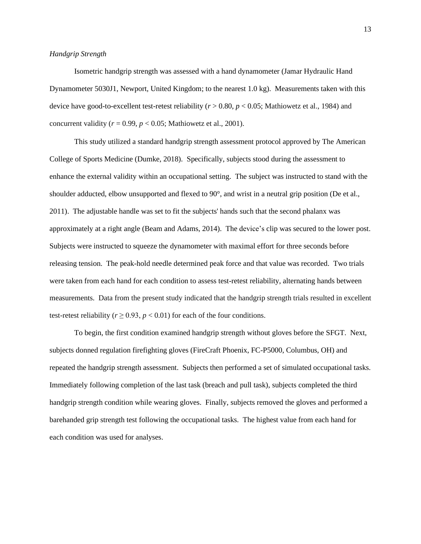#### *Handgrip Strength*

Isometric handgrip strength was assessed with a hand dynamometer (Jamar Hydraulic Hand Dynamometer 5030J1, Newport, United Kingdom; to the nearest 1.0 kg). Measurements taken with this device have good-to-excellent test-retest reliability (*r* > 0.80, *p* < 0.05; Mathiowetz et al., 1984) and concurrent validity ( $r = 0.99$ ,  $p < 0.05$ ; Mathiowetz et al., 2001).

This study utilized a standard handgrip strength assessment protocol approved by The American College of Sports Medicine (Dumke, 2018). Specifically, subjects stood during the assessment to enhance the external validity within an occupational setting. The subject was instructed to stand with the shoulder adducted, elbow unsupported and flexed to 90°, and wrist in a neutral grip position (De et al., 2011). The adjustable handle was set to fit the subjects' hands such that the second phalanx was approximately at a right angle (Beam and Adams, 2014). The device's clip was secured to the lower post. Subjects were instructed to squeeze the dynamometer with maximal effort for three seconds before releasing tension. The peak-hold needle determined peak force and that value was recorded. Two trials were taken from each hand for each condition to assess test-retest reliability, alternating hands between measurements. Data from the present study indicated that the handgrip strength trials resulted in excellent test-retest reliability ( $r \ge 0.93$ ,  $p < 0.01$ ) for each of the four conditions.

To begin, the first condition examined handgrip strength without gloves before the SFGT. Next, subjects donned regulation firefighting gloves (FireCraft Phoenix, FC-P5000, Columbus, OH) and repeated the handgrip strength assessment. Subjects then performed a set of simulated occupational tasks. Immediately following completion of the last task (breach and pull task), subjects completed the third handgrip strength condition while wearing gloves. Finally, subjects removed the gloves and performed a barehanded grip strength test following the occupational tasks. The highest value from each hand for each condition was used for analyses.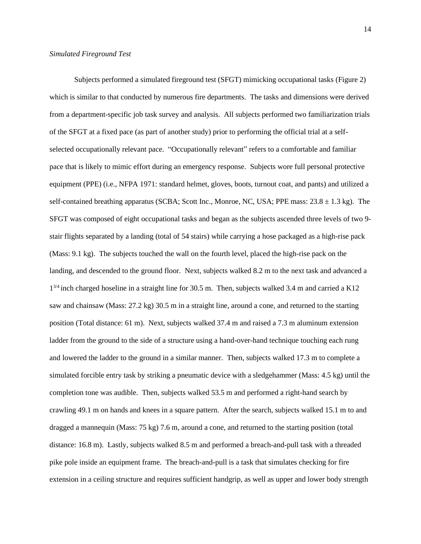Subjects performed a simulated fireground test (SFGT) mimicking occupational tasks (Figure 2) which is similar to that conducted by numerous fire departments. The tasks and dimensions were derived from a department-specific job task survey and analysis. All subjects performed two familiarization trials of the SFGT at a fixed pace (as part of another study) prior to performing the official trial at a selfselected occupationally relevant pace. "Occupationally relevant" refers to a comfortable and familiar pace that is likely to mimic effort during an emergency response. Subjects wore full personal protective equipment (PPE) (i.e., NFPA 1971: standard helmet, gloves, boots, turnout coat, and pants) and utilized a self-contained breathing apparatus (SCBA; Scott Inc., Monroe, NC, USA; PPE mass:  $23.8 \pm 1.3$  kg). The SFGT was composed of eight occupational tasks and began as the subjects ascended three levels of two 9 stair flights separated by a landing (total of 54 stairs) while carrying a hose packaged as a high-rise pack (Mass: 9.1 kg). The subjects touched the wall on the fourth level, placed the high-rise pack on the landing, and descended to the ground floor. Next, subjects walked 8.2 m to the next task and advanced a 1<sup>3/4</sup> inch charged hoseline in a straight line for 30.5 m. Then, subjects walked 3.4 m and carried a K12 saw and chainsaw (Mass: 27.2 kg) 30.5 m in a straight line, around a cone, and returned to the starting position (Total distance: 61 m). Next, subjects walked 37.4 m and raised a 7.3 m aluminum extension ladder from the ground to the side of a structure using a hand-over-hand technique touching each rung and lowered the ladder to the ground in a similar manner. Then, subjects walked 17.3 m to complete a simulated forcible entry task by striking a pneumatic device with a sledgehammer (Mass: 4.5 kg) until the completion tone was audible. Then, subjects walked 53.5 m and performed a right-hand search by crawling 49.1 m on hands and knees in a square pattern. After the search, subjects walked 15.1 m to and dragged a mannequin (Mass: 75 kg) 7.6 m, around a cone, and returned to the starting position (total distance: 16.8 m). Lastly, subjects walked 8.5 m and performed a breach-and-pull task with a threaded pike pole inside an equipment frame. The breach-and-pull is a task that simulates checking for fire extension in a ceiling structure and requires sufficient handgrip, as well as upper and lower body strength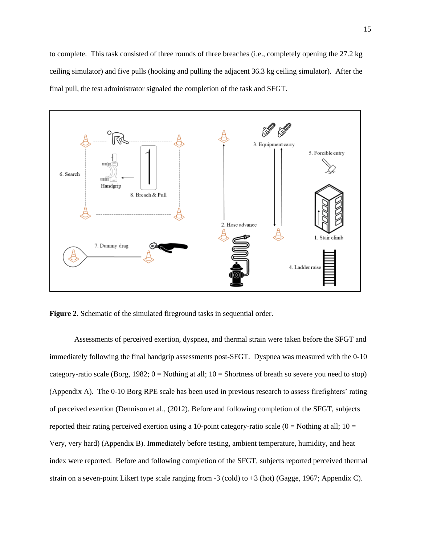

**Figure 2.** Schematic of the simulated fireground tasks in sequential order.

Assessments of perceived exertion, dyspnea, and thermal strain were taken before the SFGT and immediately following the final handgrip assessments post-SFGT. Dyspnea was measured with the 0-10 category-ratio scale (Borg, 1982;  $0 =$  Nothing at all;  $10 =$  Shortness of breath so severe you need to stop) (Appendix A). The 0-10 Borg RPE scale has been used in previous research to assess firefighters' rating of perceived exertion (Dennison et al., (2012). Before and following completion of the SFGT, subjects reported their rating perceived exertion using a 10-point category-ratio scale  $(0 = \text{Nothing at all}; 10 =$ Very, very hard) (Appendix B). Immediately before testing, ambient temperature, humidity, and heat index were reported. Before and following completion of the SFGT, subjects reported perceived thermal strain on a seven-point Likert type scale ranging from -3 (cold) to +3 (hot) (Gagge, 1967; Appendix C).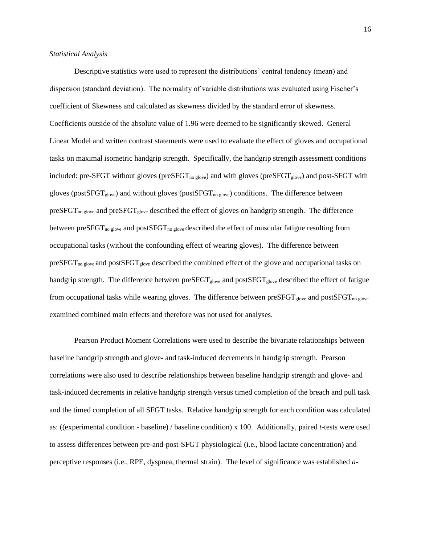#### *Statistical Analysis*

Descriptive statistics were used to represent the distributions' central tendency (mean) and dispersion (standard deviation). The normality of variable distributions was evaluated using Fischer's coefficient of Skewness and calculated as skewness divided by the standard error of skewness. Coefficients outside of the absolute value of 1.96 were deemed to be significantly skewed. General Linear Model and written contrast statements were used to evaluate the effect of gloves and occupational tasks on maximal isometric handgrip strength. Specifically, the handgrip strength assessment conditions included: pre-SFGT without gloves ( $preSFGT_{no\,glove}$ ) and with gloves ( $preSFGT_{glove}$ ) and post-SFGT with gloves (postSFGT<sub>glove</sub>) and without gloves (postSFGT<sub>no glove</sub>) conditions. The difference between preSFGT<sub>no glove</sub> and preSFGT<sub>glove</sub> described the effect of gloves on handgrip strength. The difference between preSFGT<sub>no glove</sub> and postSFGT<sub>no glove</sub> described the effect of muscular fatigue resulting from occupational tasks (without the confounding effect of wearing gloves). The difference between preSFGT<sub>no glove</sub> and postSFGT<sub>glove</sub> described the combined effect of the glove and occupational tasks on handgrip strength. The difference between preSFGT<sub>glove</sub> and postSFGT<sub>glove</sub> described the effect of fatigue from occupational tasks while wearing gloves. The difference between preSFGT<sub>glove</sub> and postSFGT<sub>no glove</sub> examined combined main effects and therefore was not used for analyses.

Pearson Product Moment Correlations were used to describe the bivariate relationships between baseline handgrip strength and glove- and task-induced decrements in handgrip strength. Pearson correlations were also used to describe relationships between baseline handgrip strength and glove- and task-induced decrements in relative handgrip strength versus timed completion of the breach and pull task and the timed completion of all SFGT tasks. Relative handgrip strength for each condition was calculated as: ((experimental condition - baseline) / baseline condition) x 100. Additionally, paired *t*-tests were used to assess differences between pre-and-post-SFGT physiological (i.e., blood lactate concentration) and perceptive responses (i.e., RPE, dyspnea, thermal strain). The level of significance was established *a*-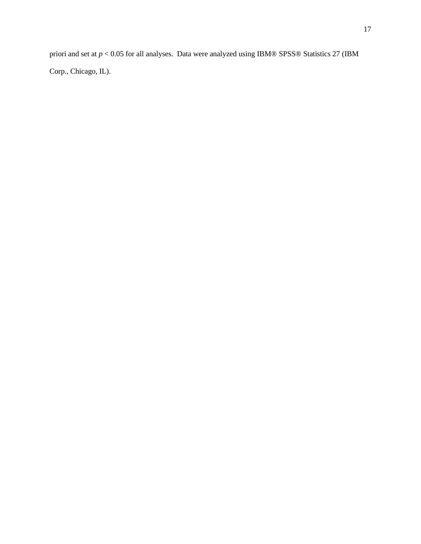priori and set at *p* < 0.05 for all analyses. Data were analyzed using IBM® SPSS® Statistics 27 (IBM Corp., Chicago, IL).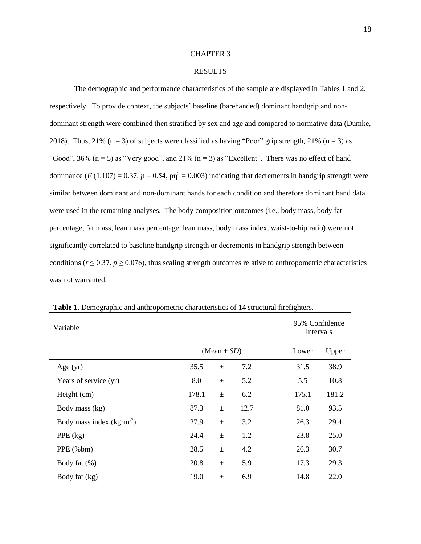#### CHAPTER 3

#### RESULTS

The demographic and performance characteristics of the sample are displayed in Tables 1 and 2, respectively. To provide context, the subjects' baseline (barehanded) dominant handgrip and nondominant strength were combined then stratified by sex and age and compared to normative data (Dumke, 2018). Thus, 21% ( $n = 3$ ) of subjects were classified as having "Poor" grip strength, 21% ( $n = 3$ ) as "Good", 36%  $(n = 5)$  as "Very good", and 21%  $(n = 3)$  as "Excellent". There was no effect of hand dominance ( $F(1,107) = 0.37$ ,  $p = 0.54$ ,  $p\eta^2 = 0.003$ ) indicating that decrements in handgrip strength were similar between dominant and non-dominant hands for each condition and therefore dominant hand data were used in the remaining analyses. The body composition outcomes (i.e., body mass, body fat percentage, fat mass, lean mass percentage, lean mass, body mass index, waist-to-hip ratio) were not significantly correlated to baseline handgrip strength or decrements in handgrip strength between conditions ( $r \le 0.37$ ,  $p \ge 0.076$ ), thus scaling strength outcomes relative to anthropometric characteristics was not warranted.

| Variable                   |       |                 |      | 95% Confidence<br>Intervals |       |
|----------------------------|-------|-----------------|------|-----------------------------|-------|
|                            |       | $(Mean \pm SD)$ |      | Lower                       | Upper |
| Age $(yr)$                 | 35.5  | $\pm$           | 7.2  | 31.5                        | 38.9  |
| Years of service (yr)      | 8.0   | $\pm$           | 5.2  | 5.5                         | 10.8  |
| Height (cm)                | 178.1 | $\pm$           | 6.2  | 175.1                       | 181.2 |
| Body mass (kg)             | 87.3  | $\pm$           | 12.7 | 81.0                        | 93.5  |
| Body mass index $(kg·m-2)$ | 27.9  | $\pm$           | 3.2  | 26.3                        | 29.4  |
| PPE $(kg)$                 | 24.4  | $\pm$           | 1.2  | 23.8                        | 25.0  |
| PPE (%bm)                  | 28.5  | $\pm$           | 4.2  | 26.3                        | 30.7  |
| Body fat $(\%)$            | 20.8  | $\pm$           | 5.9  | 17.3                        | 29.3  |
| Body fat (kg)              | 19.0  | $\pm$           | 6.9  | 14.8                        | 22.0  |

**Table 1.** Demographic and anthropometric characteristics of 14 structural firefighters.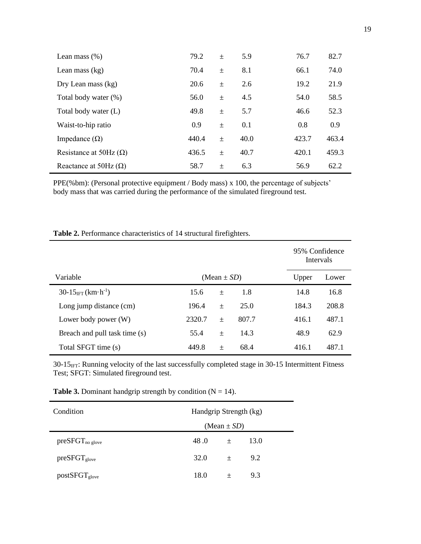| Lean mass $(\% )$             | 79.2  | $\pm$ | 5.9  | 76.7  | 82.7  |
|-------------------------------|-------|-------|------|-------|-------|
| Lean mass $(kg)$              | 70.4  | $\pm$ | 8.1  | 66.1  | 74.0  |
| Dry Lean mass (kg)            | 20.6  | $\pm$ | 2.6  | 19.2  | 21.9  |
| Total body water (%)          | 56.0  | $\pm$ | 4.5  | 54.0  | 58.5  |
| Total body water (L)          | 49.8  | $\pm$ | 5.7  | 46.6  | 52.3  |
| Waist-to-hip ratio            | 0.9   | $\pm$ | 0.1  | 0.8   | 0.9   |
| Impedance $(\Omega)$          | 440.4 | $\pm$ | 40.0 | 423.7 | 463.4 |
| Resistance at 50Hz $(\Omega)$ | 436.5 | $\pm$ | 40.7 | 420.1 | 459.3 |
| Reactance at 50Hz $(\Omega)$  | 58.7  | 土     | 6.3  | 56.9  | 62.2  |

PPE(%bm): (Personal protective equipment / Body mass) x 100, the percentage of subjects' body mass that was carried during the performance of the simulated fireground test.

| <b>Table 2.</b> Performance characteristics of 14 structural firefighters. |  |
|----------------------------------------------------------------------------|--|
|----------------------------------------------------------------------------|--|

|                                                    |        |                 |       |       | 95% Confidence<br>Intervals |
|----------------------------------------------------|--------|-----------------|-------|-------|-----------------------------|
| Variable                                           |        | (Mean $\pm$ SD) |       | Upper | Lower                       |
| $30-15_{\text{IFT}}$ (km $\cdot$ h <sup>-1</sup> ) | 15.6   | $\pm$           | 1.8   | 14.8  | 16.8                        |
| Long jump distance (cm)                            | 196.4  | $\pm$           | 25.0  | 184.3 | 208.8                       |
| Lower body power (W)                               | 2320.7 | $\pm$           | 807.7 | 416.1 | 487.1                       |
| Breach and pull task time (s)                      | 55.4   | $\pm$           | 14.3  | 48.9  | 62.9                        |
| Total SFGT time (s)                                | 449.8  | $\! + \!\!\!\!$ | 68.4  | 416.1 | 487.1                       |

30-15<sub>IFT</sub>: Running velocity of the last successfully completed stage in 30-15 Intermittent Fitness Test; SFGT: Simulated fireground test.

| Condition             |                  | Handgrip Strength (kg) |      |  |  |  |  |
|-----------------------|------------------|------------------------|------|--|--|--|--|
|                       | (Mean $\pm SD$ ) |                        |      |  |  |  |  |
| preSFGT <sub>no</sub> | 48.0             | $\pm$                  | 13.0 |  |  |  |  |
| $presFGT_{glove}$     | 32.0             | $+$                    | 9.2  |  |  |  |  |
| $postSFGT_{glove}$    | 18.0             | $^{+}$                 | 9.3  |  |  |  |  |

**Table 3.** Dominant handgrip strength by condition  $(N = 14)$ .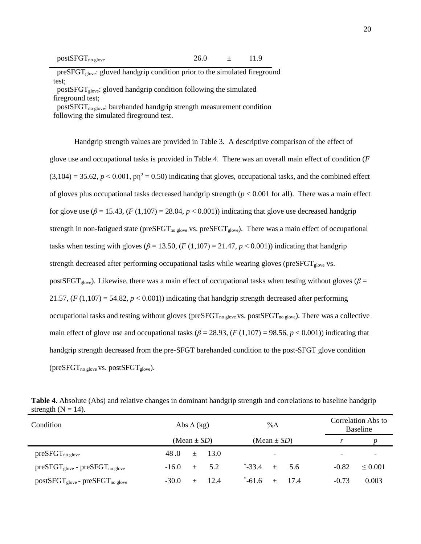| $postSFGT_{no\,glove}$<br>26.0 |  |
|--------------------------------|--|
|--------------------------------|--|

 $presFGT<sub>glove</sub>: gloved handgrip condition prior to the simulated fireground$ test;

 postSFGTglove: gloved handgrip condition following the simulated fireground test;

post $SFGT_{no\,glove}$ : barehanded handgrip strength measurement condition following the simulated fireground test.

Handgrip strength values are provided in Table 3. A descriptive comparison of the effect of glove use and occupational tasks is provided in Table 4. There was an overall main effect of condition (*F*   $(3,104) = 35.62$ ,  $p < 0.001$ ,  $p\eta^2 = 0.50$ ) indicating that gloves, occupational tasks, and the combined effect of gloves plus occupational tasks decreased handgrip strength  $(p < 0.001$  for all). There was a main effect for glove use  $(\beta = 15.43, (F(1,107)) = 28.04, p < 0.001)$ ) indicating that glove use decreased handgrip strength in non-fatigued state (preSFGT<sub>no glove</sub> vs. preSFGT<sub>glove</sub>). There was a main effect of occupational tasks when testing with gloves ( $\beta$  = 13.50, (*F* (1,107) = 21.47, *p* < 0.001)) indicating that handgrip strength decreased after performing occupational tasks while wearing gloves (preSFGT<sub>glove</sub> vs. postSFGT<sub>glove</sub>). Likewise, there was a main effect of occupational tasks when testing without gloves ( $\beta$  = 21.57,  $(F (1,107) = 54.82, p < 0.001)$ ) indicating that handgrip strength decreased after performing occupational tasks and testing without gloves ( $presFGT_{no\,glove}$  vs. postSFGT<sub>no glove</sub>). There was a collective main effect of glove use and occupational tasks ( $\beta$  = 28.93, ( $F$  (1,107) = 98.56,  $p$  < 0.001)) indicating that handgrip strength decreased from the pre-SFGT barehanded condition to the post-SFGT glove condition ( $preSFGT_{no\,glove}$  vs.  $postSFGT_{glove}$ ).

| Condition                                  |                 | Abs $\Delta$ (kg) |               | $\% \Delta$              |      |  | Correlation Abs to<br><b>Baseline</b> |              |  |
|--------------------------------------------|-----------------|-------------------|---------------|--------------------------|------|--|---------------------------------------|--------------|--|
|                                            | $(Mean \pm SD)$ |                   |               | (Mean $\pm$ SD)          |      |  |                                       |              |  |
| $preSFGT_{no\,glove}$                      | 48.0<br>$\pm$   | - 13.0            |               | $\overline{\phantom{a}}$ |      |  | $\overline{\phantom{0}}$              |              |  |
| $preSFGT_{glove}$ - $preSFGT_{no\,glove}$  | $-16.0 \pm 5.2$ |                   | $-33.4 + 5.6$ |                          |      |  | $-0.82$                               | $\leq 0.001$ |  |
| $postSFGT_{glove}$ - $presFGT_{no\,glove}$ | $-30.0$         | 12.4              | $-61.6$       | $+$                      | -174 |  | $-0.73$                               | 0.003        |  |

**Table 4.** Absolute (Abs) and relative changes in dominant handgrip strength and correlations to baseline handgrip strength  $(N = 14)$ .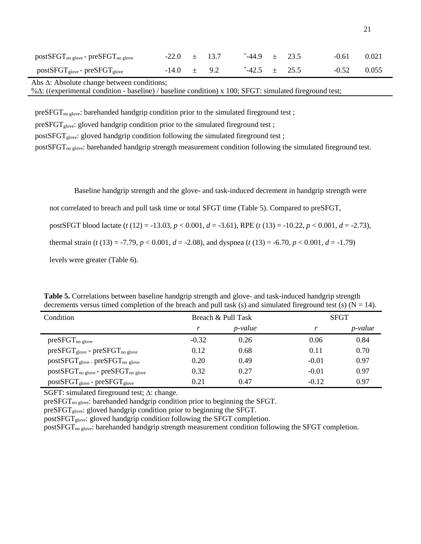| $postSFGT_{no\,glove}$ - $preSFGT_{no\,glove}$ | $-22.0 \t\pm 13.7$ |  | $-44.9$ $\pm$ 23.5 |  | $-0.61$ | 0.021 |
|------------------------------------------------|--------------------|--|--------------------|--|---------|-------|
| $postSFGT_{glove}$ - $presFGT_{glove}$         | $-14.0 \pm 9.2$    |  | $-42.5 + 25.5$     |  | $-0.52$ | 0.055 |

Abs ∆: Absolute change between conditions;

%∆: ((experimental condition - baseline) / baseline condition) x 100; SFGT: simulated fireground test;

preSFGT<sub>no glove</sub>: barehanded handgrip condition prior to the simulated fireground test;

preSFGT<sub>glove</sub>: gloved handgrip condition prior to the simulated fireground test;

postSFGT<sub>glove</sub>: gloved handgrip condition following the simulated fireground test;

postSFGT<sub>no glove</sub>: barehanded handgrip strength measurement condition following the simulated fireground test.

Baseline handgrip strength and the glove- and task-induced decrement in handgrip strength were

not correlated to breach and pull task time or total SFGT time (Table 5). Compared to preSFGT,

postSFGT blood lactate (*t* (12) = -13.03, *p* < 0.001, *d* = -3.61), RPE (*t* (13) = -10.22, *p* < 0.001, *d* = -2.73),

thermal strain (*t* (13) = -7.79, *p* < 0.001, *d* = -2.08), and dyspnea (*t* (13) = -6.70, *p* < 0.001, *d* = -1.79)

levels were greater (Table 6).

| Condition                                      |         | Breach & Pull Task | <b>SFGT</b> |                 |  |
|------------------------------------------------|---------|--------------------|-------------|-----------------|--|
|                                                |         | <i>p</i> -value    |             | <i>p</i> -value |  |
| $preSFGT_{no \text{ glove}}$                   | $-0.32$ | 0.26               | 0.06        | 0.84            |  |
| $preSFGT_{glove}$ - $preSFGT_{no \,glove}$     | 0.12    | 0.68               | 0.11        | 0.70            |  |
| $postSFGT_{glove}$ pre $SFGT_{no}$ glove       | 0.20    | 0.49               | $-0.01$     | 0.97            |  |
| $postSFGT_{no\,glove}$ - $preSFGT_{no\,glove}$ | 0.32    | 0.27               | $-0.01$     | 0.97            |  |
| $postSFGT_{glove}$ - $preSFGT_{glove}$         | 0.21    | 0.47               | $-0.12$     | 0.97            |  |

**Table 5.** Correlations between baseline handgrip strength and glove- and task-induced handgrip strength decrements versus timed completion of the breach and pull task (s) and simulated fireground test (s) ( $N = 14$ ).

SGFT: simulated fireground test; ∆: change.

preSFGT<sub>no glove</sub>: barehanded handgrip condition prior to beginning the SFGT.

preSFGT<sub>glove</sub>: gloved handgrip condition prior to beginning the SFGT.

postSFGT<sub>glove</sub>: gloved handgrip condition following the SFGT completion.

postSFGT<sub>no glove</sub>: barehanded handgrip strength measurement condition following the SFGT completion.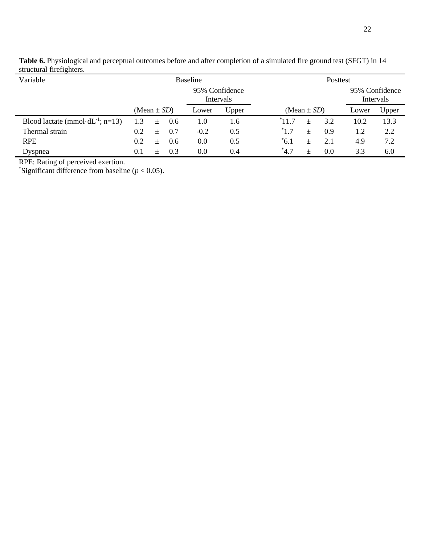| $5th$ are $\frac{1}{10}$ and $\frac{1}{10}$ and $\frac{1}{10}$ . |                                |                             |       |                                        |
|------------------------------------------------------------------|--------------------------------|-----------------------------|-------|----------------------------------------|
| Variable                                                         | <b>Baseline</b>                |                             |       | Posttest                               |
|                                                                  |                                | 95% Confidence<br>Intervals |       | 95% Confidence<br>Intervals            |
|                                                                  | (Mean $\pm SD$ )               | Lower                       | Upper | Upper<br>(Mean $\pm$ SD)<br>Lower      |
| Blood lactate (mmol·dL <sup>-1</sup> ; n=13)                     | 1.3<br>0.6<br>$+$              | 1.0                         | 1.6   | 13.3<br>11.7<br>3.2<br>10.2<br>$^{+}$  |
| Thermal strain                                                   | 0.2 <sub>1</sub><br>0.7<br>$+$ | $-0.2$                      | 0.5   | $^*1.7$<br>2.2<br>0.9<br>1.2<br>$\pm$  |
| <b>RPE</b>                                                       | 0.2<br>0.6<br>$+$              | 0.0                         | 0.5   | $^*6.1$<br>7.2<br>4.9<br>2.1<br>$^{+}$ |
| Dyspnea                                                          | 0.3<br>0.1<br>$^{+}$           | 0.0                         | 0.4   | $*4.7$<br>3.3<br>0.0<br>6.0<br>$^{+}$  |

**Table 6.** Physiological and perceptual outcomes before and after completion of a simulated fire ground test (SFGT) in 14 structural firefighters.

RPE: Rating of perceived exertion.

\*Significant difference from baseline  $(p < 0.05)$ .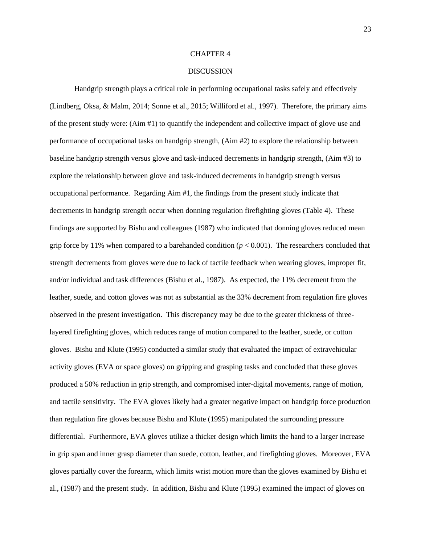#### CHAPTER 4

#### DISCUSSION

Handgrip strength plays a critical role in performing occupational tasks safely and effectively (Lindberg, Oksa, & Malm, 2014; Sonne et al., 2015; Williford et al., 1997). Therefore, the primary aims of the present study were: (Aim #1) to quantify the independent and collective impact of glove use and performance of occupational tasks on handgrip strength, (Aim #2) to explore the relationship between baseline handgrip strength versus glove and task-induced decrements in handgrip strength, (Aim #3) to explore the relationship between glove and task-induced decrements in handgrip strength versus occupational performance. Regarding Aim #1, the findings from the present study indicate that decrements in handgrip strength occur when donning regulation firefighting gloves (Table 4). These findings are supported by Bishu and colleagues (1987) who indicated that donning gloves reduced mean grip force by 11% when compared to a barehanded condition  $(p < 0.001)$ . The researchers concluded that strength decrements from gloves were due to lack of tactile feedback when wearing gloves, improper fit, and/or individual and task differences (Bishu et al., 1987). As expected, the 11% decrement from the leather, suede, and cotton gloves was not as substantial as the 33% decrement from regulation fire gloves observed in the present investigation. This discrepancy may be due to the greater thickness of threelayered firefighting gloves, which reduces range of motion compared to the leather, suede, or cotton gloves. Bishu and Klute (1995) conducted a similar study that evaluated the impact of extravehicular activity gloves (EVA or space gloves) on gripping and grasping tasks and concluded that these gloves produced a 50% reduction in grip strength, and compromised inter-digital movements, range of motion, and tactile sensitivity. The EVA gloves likely had a greater negative impact on handgrip force production than regulation fire gloves because Bishu and Klute (1995) manipulated the surrounding pressure differential. Furthermore, EVA gloves utilize a thicker design which limits the hand to a larger increase in grip span and inner grasp diameter than suede, cotton, leather, and firefighting gloves. Moreover, EVA gloves partially cover the forearm, which limits wrist motion more than the gloves examined by Bishu et al., (1987) and the present study. In addition, Bishu and Klute (1995) examined the impact of gloves on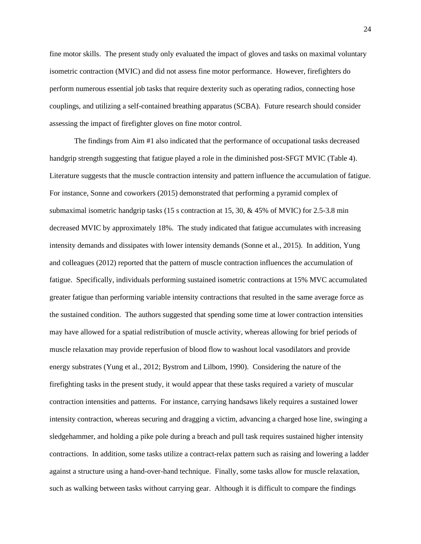fine motor skills. The present study only evaluated the impact of gloves and tasks on maximal voluntary isometric contraction (MVIC) and did not assess fine motor performance. However, firefighters do perform numerous essential job tasks that require dexterity such as operating radios, connecting hose couplings, and utilizing a self-contained breathing apparatus (SCBA). Future research should consider assessing the impact of firefighter gloves on fine motor control.

The findings from Aim #1 also indicated that the performance of occupational tasks decreased handgrip strength suggesting that fatigue played a role in the diminished post-SFGT MVIC (Table 4). Literature suggests that the muscle contraction intensity and pattern influence the accumulation of fatigue. For instance, Sonne and coworkers (2015) demonstrated that performing a pyramid complex of submaximal isometric handgrip tasks (15 s contraction at 15, 30, & 45% of MVIC) for 2.5-3.8 min decreased MVIC by approximately 18%. The study indicated that fatigue accumulates with increasing intensity demands and dissipates with lower intensity demands (Sonne et al., 2015). In addition, Yung and colleagues (2012) reported that the pattern of muscle contraction influences the accumulation of fatigue. Specifically, individuals performing sustained isometric contractions at 15% MVC accumulated greater fatigue than performing variable intensity contractions that resulted in the same average force as the sustained condition. The authors suggested that spending some time at lower contraction intensities may have allowed for a spatial redistribution of muscle activity, whereas allowing for brief periods of muscle relaxation may provide reperfusion of blood flow to washout local vasodilators and provide energy substrates (Yung et al., 2012; Bystrom and Lilbom, 1990). Considering the nature of the firefighting tasks in the present study, it would appear that these tasks required a variety of muscular contraction intensities and patterns. For instance, carrying handsaws likely requires a sustained lower intensity contraction, whereas securing and dragging a victim, advancing a charged hose line, swinging a sledgehammer, and holding a pike pole during a breach and pull task requires sustained higher intensity contractions. In addition, some tasks utilize a contract-relax pattern such as raising and lowering a ladder against a structure using a hand-over-hand technique. Finally, some tasks allow for muscle relaxation, such as walking between tasks without carrying gear. Although it is difficult to compare the findings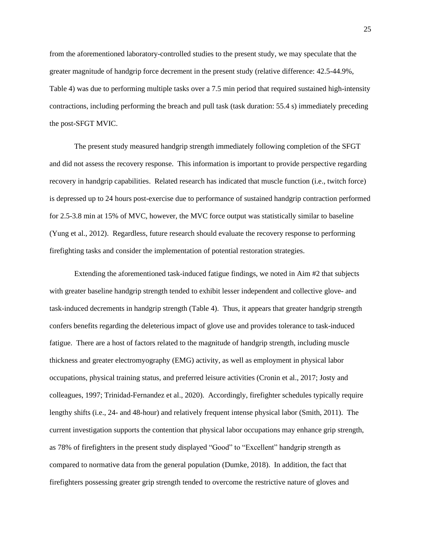from the aforementioned laboratory-controlled studies to the present study, we may speculate that the greater magnitude of handgrip force decrement in the present study (relative difference: 42.5-44.9%, Table 4) was due to performing multiple tasks over a 7.5 min period that required sustained high-intensity contractions, including performing the breach and pull task (task duration: 55.4 s) immediately preceding the post-SFGT MVIC.

The present study measured handgrip strength immediately following completion of the SFGT and did not assess the recovery response. This information is important to provide perspective regarding recovery in handgrip capabilities. Related research has indicated that muscle function (i.e., twitch force) is depressed up to 24 hours post-exercise due to performance of sustained handgrip contraction performed for 2.5-3.8 min at 15% of MVC, however, the MVC force output was statistically similar to baseline (Yung et al., 2012). Regardless, future research should evaluate the recovery response to performing firefighting tasks and consider the implementation of potential restoration strategies.

Extending the aforementioned task-induced fatigue findings, we noted in Aim #2 that subjects with greater baseline handgrip strength tended to exhibit lesser independent and collective glove- and task-induced decrements in handgrip strength (Table 4). Thus, it appears that greater handgrip strength confers benefits regarding the deleterious impact of glove use and provides tolerance to task-induced fatigue. There are a host of factors related to the magnitude of handgrip strength, including muscle thickness and greater electromyography (EMG) activity, as well as employment in physical labor occupations, physical training status, and preferred leisure activities (Cronin et al., 2017; Josty and colleagues, 1997; Trinidad-Fernandez et al., 2020). Accordingly, firefighter schedules typically require lengthy shifts (i.e., 24- and 48-hour) and relatively frequent intense physical labor (Smith, 2011). The current investigation supports the contention that physical labor occupations may enhance grip strength, as 78% of firefighters in the present study displayed "Good" to "Excellent" handgrip strength as compared to normative data from the general population (Dumke, 2018). In addition, the fact that firefighters possessing greater grip strength tended to overcome the restrictive nature of gloves and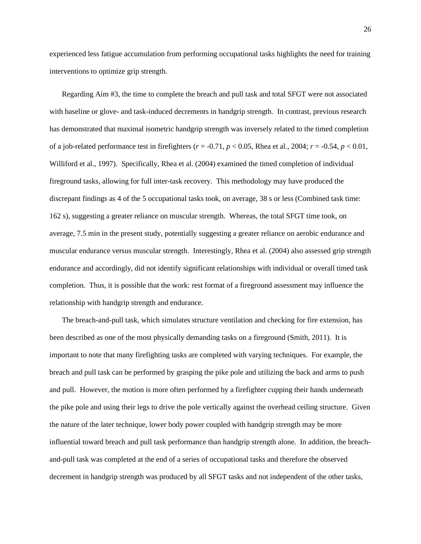experienced less fatigue accumulation from performing occupational tasks highlights the need for training interventions to optimize grip strength.

Regarding Aim #3, the time to complete the breach and pull task and total SFGT were not associated with baseline or glove- and task-induced decrements in handgrip strength. In contrast, previous research has demonstrated that maximal isometric handgrip strength was inversely related to the timed completion of a job-related performance test in firefighters ( $r = -0.71$ ,  $p < 0.05$ , Rhea et al., 2004;  $r = -0.54$ ,  $p < 0.01$ , Williford et al., 1997). Specifically, Rhea et al. (2004) examined the timed completion of individual fireground tasks, allowing for full inter-task recovery. This methodology may have produced the discrepant findings as 4 of the 5 occupational tasks took, on average, 38 s or less (Combined task time: 162 s), suggesting a greater reliance on muscular strength. Whereas, the total SFGT time took, on average, 7.5 min in the present study, potentially suggesting a greater reliance on aerobic endurance and muscular endurance versus muscular strength. Interestingly, Rhea et al. (2004) also assessed grip strength endurance and accordingly, did not identify significant relationships with individual or overall timed task completion. Thus, it is possible that the work: rest format of a fireground assessment may influence the relationship with handgrip strength and endurance.

The breach-and-pull task, which simulates structure ventilation and checking for fire extension, has been described as one of the most physically demanding tasks on a fireground (Smith, 2011). It is important to note that many firefighting tasks are completed with varying techniques. For example, the breach and pull task can be performed by grasping the pike pole and utilizing the back and arms to push and pull. However, the motion is more often performed by a firefighter cupping their hands underneath the pike pole and using their legs to drive the pole vertically against the overhead ceiling structure. Given the nature of the later technique, lower body power coupled with handgrip strength may be more influential toward breach and pull task performance than handgrip strength alone. In addition, the breachand-pull task was completed at the end of a series of occupational tasks and therefore the observed decrement in handgrip strength was produced by all SFGT tasks and not independent of the other tasks,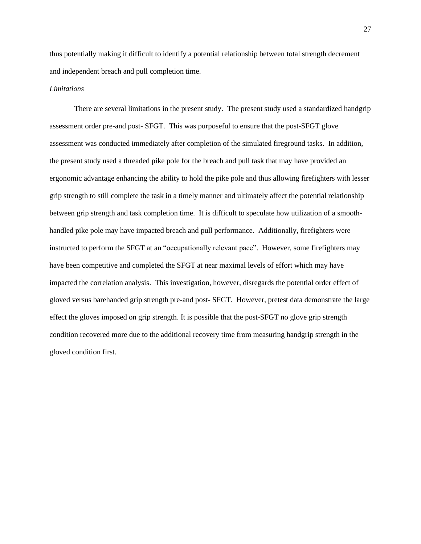thus potentially making it difficult to identify a potential relationship between total strength decrement and independent breach and pull completion time.

#### *Limitations*

There are several limitations in the present study. The present study used a standardized handgrip assessment order pre-and post- SFGT. This was purposeful to ensure that the post-SFGT glove assessment was conducted immediately after completion of the simulated fireground tasks. In addition, the present study used a threaded pike pole for the breach and pull task that may have provided an ergonomic advantage enhancing the ability to hold the pike pole and thus allowing firefighters with lesser grip strength to still complete the task in a timely manner and ultimately affect the potential relationship between grip strength and task completion time. It is difficult to speculate how utilization of a smoothhandled pike pole may have impacted breach and pull performance. Additionally, firefighters were instructed to perform the SFGT at an "occupationally relevant pace". However, some firefighters may have been competitive and completed the SFGT at near maximal levels of effort which may have impacted the correlation analysis. This investigation, however, disregards the potential order effect of gloved versus barehanded grip strength pre-and post- SFGT. However, pretest data demonstrate the large effect the gloves imposed on grip strength. It is possible that the post-SFGT no glove grip strength condition recovered more due to the additional recovery time from measuring handgrip strength in the gloved condition first.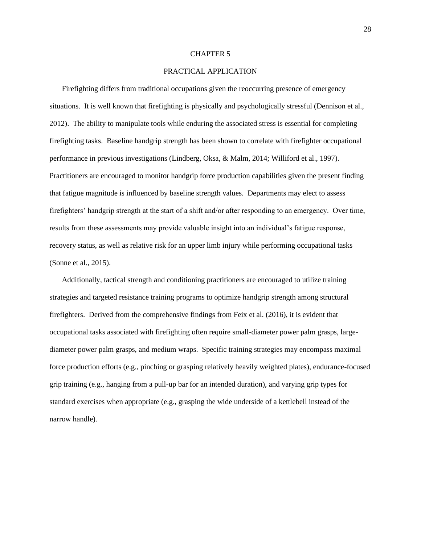#### CHAPTER 5

### PRACTICAL APPLICATION

Firefighting differs from traditional occupations given the reoccurring presence of emergency situations. It is well known that firefighting is physically and psychologically stressful (Dennison et al., 2012). The ability to manipulate tools while enduring the associated stress is essential for completing firefighting tasks. Baseline handgrip strength has been shown to correlate with firefighter occupational performance in previous investigations (Lindberg, Oksa, & Malm, 2014; Williford et al., 1997). Practitioners are encouraged to monitor handgrip force production capabilities given the present finding that fatigue magnitude is influenced by baseline strength values. Departments may elect to assess firefighters' handgrip strength at the start of a shift and/or after responding to an emergency. Over time, results from these assessments may provide valuable insight into an individual's fatigue response, recovery status, as well as relative risk for an upper limb injury while performing occupational tasks (Sonne et al., 2015).

Additionally, tactical strength and conditioning practitioners are encouraged to utilize training strategies and targeted resistance training programs to optimize handgrip strength among structural firefighters. Derived from the comprehensive findings from Feix et al. (2016), it is evident that occupational tasks associated with firefighting often require small-diameter power palm grasps, largediameter power palm grasps, and medium wraps. Specific training strategies may encompass maximal force production efforts (e.g., pinching or grasping relatively heavily weighted plates), endurance-focused grip training (e.g., hanging from a pull-up bar for an intended duration), and varying grip types for standard exercises when appropriate (e.g., grasping the wide underside of a kettlebell instead of the narrow handle).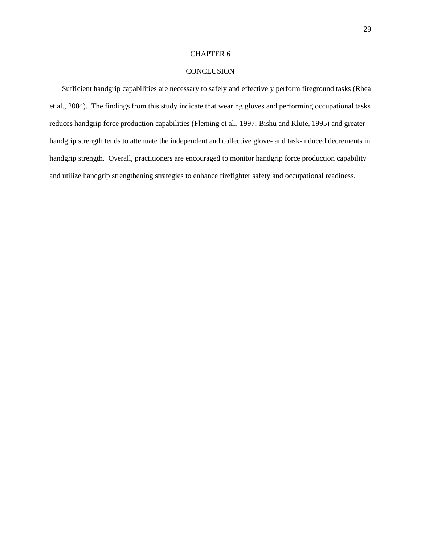### CHAPTER 6

### CONCLUSION

Sufficient handgrip capabilities are necessary to safely and effectively perform fireground tasks (Rhea et al., 2004). The findings from this study indicate that wearing gloves and performing occupational tasks reduces handgrip force production capabilities (Fleming et al., 1997; Bishu and Klute, 1995) and greater handgrip strength tends to attenuate the independent and collective glove- and task-induced decrements in handgrip strength. Overall, practitioners are encouraged to monitor handgrip force production capability and utilize handgrip strengthening strategies to enhance firefighter safety and occupational readiness.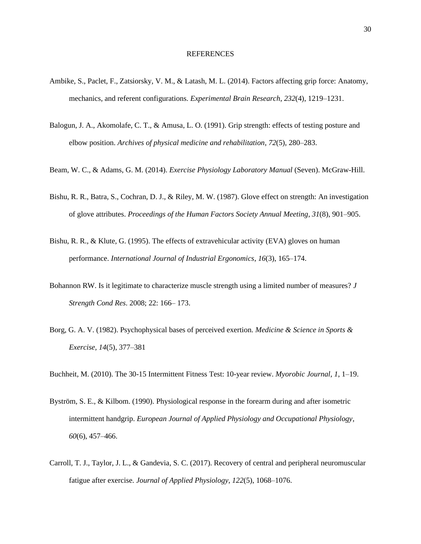#### REFERENCES

- Ambike, S., Paclet, F., Zatsiorsky, V. M., & Latash, M. L. (2014). Factors affecting grip force: Anatomy, mechanics, and referent configurations. *Experimental Brain Research*, *232*(4), 1219–1231.
- Balogun, J. A., Akomolafe, C. T., & Amusa, L. O. (1991). Grip strength: effects of testing posture and elbow position. *Archives of physical medicine and rehabilitation*, *72*(5), 280–283.
- Beam, W. C., & Adams, G. M. (2014). *Exercise Physiology Laboratory Manual* (Seven). McGraw-Hill.
- Bishu, R. R., Batra, S., Cochran, D. J., & Riley, M. W. (1987). Glove effect on strength: An investigation of glove attributes. *Proceedings of the Human Factors Society Annual Meeting*, *31*(8), 901–905.
- Bishu, R. R., & Klute, G. (1995). The effects of extravehicular activity (EVA) gloves on human performance. *International Journal of Industrial Ergonomics*, *16*(3), 165–174.
- Bohannon RW. Is it legitimate to characterize muscle strength using a limited number of measures? *J Strength Cond Res*. 2008; 22: 166– 173.
- Borg, G. A. V. (1982). Psychophysical bases of perceived exertion. *Medicine & Science in Sports & Exercise, 14*(5), 377–381
- Buchheit, M. (2010). The 30-15 Intermittent Fitness Test: 10-year review. *Myorobic Journal*, *1*, 1–19.
- Byström, S. E., & Kilbom. (1990). Physiological response in the forearm during and after isometric intermittent handgrip. *European Journal of Applied Physiology and Occupational Physiology*, *60*(6), 457–466.
- Carroll, T. J., Taylor, J. L., & Gandevia, S. C. (2017). Recovery of central and peripheral neuromuscular fatigue after exercise. *Journal of Applied Physiology*, *122*(5), 1068–1076.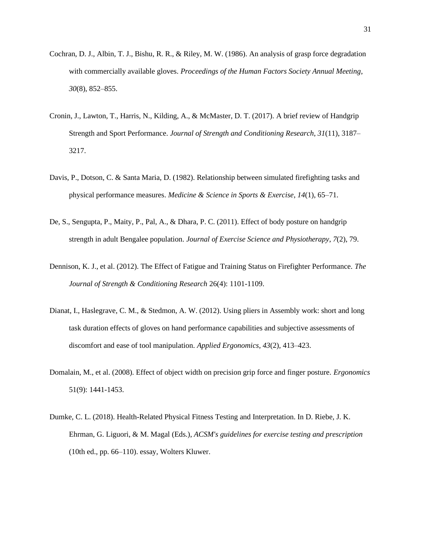- Cochran, D. J., Albin, T. J., Bishu, R. R., & Riley, M. W. (1986). An analysis of grasp force degradation with commercially available gloves. *Proceedings of the Human Factors Society Annual Meeting*, *30*(8), 852–855.
- Cronin, J., Lawton, T., Harris, N., Kilding, A., & McMaster, D. T. (2017). A brief review of Handgrip Strength and Sport Performance. *Journal of Strength and Conditioning Research*, *31*(11), 3187– 3217.
- Davis, P., Dotson, C. & Santa Maria, D. (1982). Relationship between simulated firefighting tasks and physical performance measures. *Medicine & Science in Sports & Exercise*, *14*(1), 65–71.
- De, S., Sengupta, P., Maity, P., Pal, A., & Dhara, P. C. (2011). Effect of body posture on handgrip strength in adult Bengalee population. *Journal of Exercise Science and Physiotherapy*, *7*(2), 79.
- Dennison, K. J., et al. (2012). The Effect of Fatigue and Training Status on Firefighter Performance. *The Journal of Strength & Conditioning Research* 26(4): 1101-1109.
- Dianat, I., Haslegrave, C. M., & Stedmon, A. W. (2012). Using pliers in Assembly work: short and long task duration effects of gloves on hand performance capabilities and subjective assessments of discomfort and ease of tool manipulation. *Applied Ergonomics*, *43*(2), 413–423.
- Domalain, M., et al. (2008). Effect of object width on precision grip force and finger posture. *Ergonomics* 51(9): 1441-1453.
- Dumke, C. L. (2018). Health-Related Physical Fitness Testing and Interpretation. In D. Riebe, J. K. Ehrman, G. Liguori, & M. Magal (Eds.), *ACSM's guidelines for exercise testing and prescription* (10th ed., pp. 66–110). essay, Wolters Kluwer.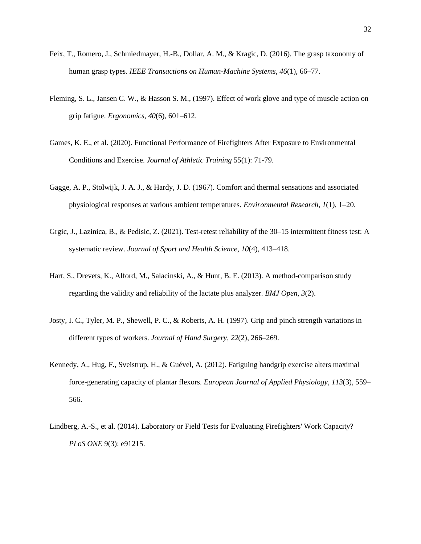- Feix, T., Romero, J., Schmiedmayer, H.-B., Dollar, A. M., & Kragic, D. (2016). The grasp taxonomy of human grasp types. *IEEE Transactions on Human-Machine Systems*, *46*(1), 66–77.
- Fleming, S. L., Jansen C. W., & Hasson S. M., (1997). Effect of work glove and type of muscle action on grip fatigue. *Ergonomics*, *40*(6), 601–612.
- Games, K. E., et al. (2020). Functional Performance of Firefighters After Exposure to Environmental Conditions and Exercise. *Journal of Athletic Training* 55(1): 71-79.
- Gagge, A. P., Stolwijk, J. A. J., & Hardy, J. D. (1967). Comfort and thermal sensations and associated physiological responses at various ambient temperatures. *Environmental Research*, *1*(1), 1–20.
- Grgic, J., Lazinica, B., & Pedisic, Z. (2021). Test-retest reliability of the 30–15 intermittent fitness test: A systematic review. *Journal of Sport and Health Science*, *10*(4), 413–418.
- Hart, S., Drevets, K., Alford, M., Salacinski, A., & Hunt, B. E. (2013). A method-comparison study regarding the validity and reliability of the lactate plus analyzer. *BMJ Open*, *3*(2).
- Josty, I. C., Tyler, M. P., Shewell, P. C., & Roberts, A. H. (1997). Grip and pinch strength variations in different types of workers. *Journal of Hand Surgery*, *22*(2), 266–269.
- Kennedy, A., Hug, F., Sveistrup, H., & Guével, A. (2012). Fatiguing handgrip exercise alters maximal force-generating capacity of plantar flexors. *European Journal of Applied Physiology*, *113*(3), 559– 566.
- Lindberg, A.-S., et al. (2014). Laboratory or Field Tests for Evaluating Firefighters' Work Capacity? *PLoS ONE* 9(3): e91215.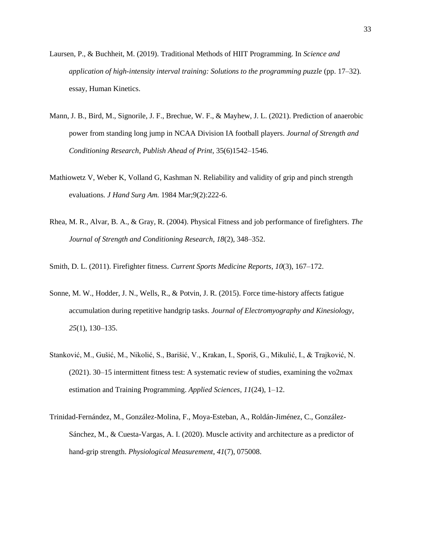- Laursen, P., & Buchheit, M. (2019). Traditional Methods of HIIT Programming. In *Science and application of high-intensity interval training: Solutions to the programming puzzle* (pp. 17–32). essay, Human Kinetics.
- Mann, J. B., Bird, M., Signorile, J. F., Brechue, W. F., & Mayhew, J. L. (2021). Prediction of anaerobic power from standing long jump in NCAA Division IA football players. *Journal of Strength and Conditioning Research*, *Publish Ahead of Print*, 35(6)1542–1546.
- Mathiowetz V, Weber K, Volland G, Kashman N. Reliability and validity of grip and pinch strength evaluations. *J Hand Surg Am.* 1984 Mar;9(2):222-6.
- Rhea, M. R., Alvar, B. A., & Gray, R. (2004). Physical Fitness and job performance of firefighters. *The Journal of Strength and Conditioning Research*, *18*(2), 348–352.

Smith, D. L. (2011). Firefighter fitness. *Current Sports Medicine Reports*, *10*(3), 167–172.

- Sonne, M. W., Hodder, J. N., Wells, R., & Potvin, J. R. (2015). Force time-history affects fatigue accumulation during repetitive handgrip tasks. *Journal of Electromyography and Kinesiology*, *25*(1), 130–135.
- Stanković, M., Gušić, M., Nikolić, S., Barišić, V., Krakan, I., Sporiš, G., Mikulić, I., & Trajković, N. (2021). 30–15 intermittent fitness test: A systematic review of studies, examining the vo2max estimation and Training Programming. *Applied Sciences*, *11*(24), 1–12.
- Trinidad-Fernández, M., González-Molina, F., Moya-Esteban, A., Roldán-Jiménez, C., González-Sánchez, M., & Cuesta-Vargas, A. I. (2020). Muscle activity and architecture as a predictor of hand-grip strength. *Physiological Measurement*, *41*(7), 075008.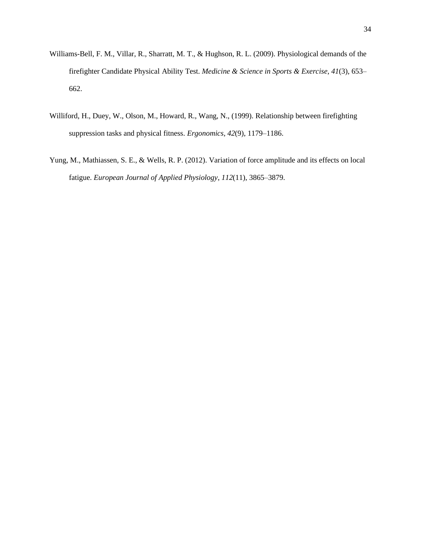- Williams-Bell, F. M., Villar, R., Sharratt, M. T., & Hughson, R. L. (2009). Physiological demands of the firefighter Candidate Physical Ability Test. *Medicine & Science in Sports & Exercise*, *41*(3), 653– 662.
- Williford, H., Duey, W., Olson, M., Howard, R., Wang, N., (1999). Relationship between firefighting suppression tasks and physical fitness. *Ergonomics*, *42*(9), 1179–1186.
- Yung, M., Mathiassen, S. E., & Wells, R. P. (2012). Variation of force amplitude and its effects on local fatigue. *European Journal of Applied Physiology*, *112*(11), 3865–3879.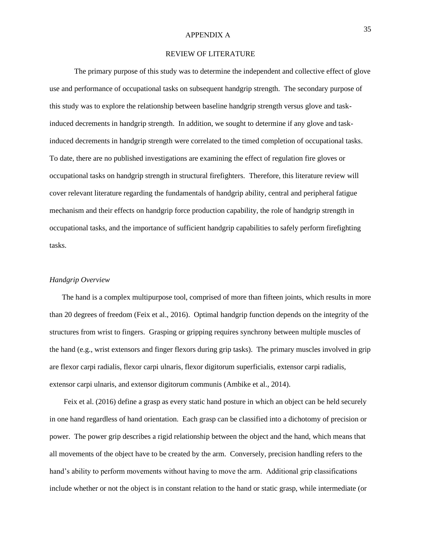#### APPENDIX A

#### REVIEW OF LITERATURE

The primary purpose of this study was to determine the independent and collective effect of glove use and performance of occupational tasks on subsequent handgrip strength. The secondary purpose of this study was to explore the relationship between baseline handgrip strength versus glove and taskinduced decrements in handgrip strength. In addition, we sought to determine if any glove and taskinduced decrements in handgrip strength were correlated to the timed completion of occupational tasks. To date, there are no published investigations are examining the effect of regulation fire gloves or occupational tasks on handgrip strength in structural firefighters. Therefore, this literature review will cover relevant literature regarding the fundamentals of handgrip ability, central and peripheral fatigue mechanism and their effects on handgrip force production capability, the role of handgrip strength in occupational tasks, and the importance of sufficient handgrip capabilities to safely perform firefighting tasks.

#### *Handgrip Overview*

The hand is a complex multipurpose tool, comprised of more than fifteen joints, which results in more than 20 degrees of freedom (Feix et al., 2016). Optimal handgrip function depends on the integrity of the structures from wrist to fingers. Grasping or gripping requires synchrony between multiple muscles of the hand (e.g., wrist extensors and finger flexors during grip tasks). The primary muscles involved in grip are flexor carpi radialis, flexor carpi ulnaris, flexor digitorum superficialis, extensor carpi radialis, extensor carpi ulnaris, and extensor digitorum communis (Ambike et al., 2014).

Feix et al. (2016) define a grasp as every static hand posture in which an object can be held securely in one hand regardless of hand orientation. Each grasp can be classified into a dichotomy of precision or power. The power grip describes a rigid relationship between the object and the hand, which means that all movements of the object have to be created by the arm. Conversely, precision handling refers to the hand's ability to perform movements without having to move the arm. Additional grip classifications include whether or not the object is in constant relation to the hand or static grasp, while intermediate (or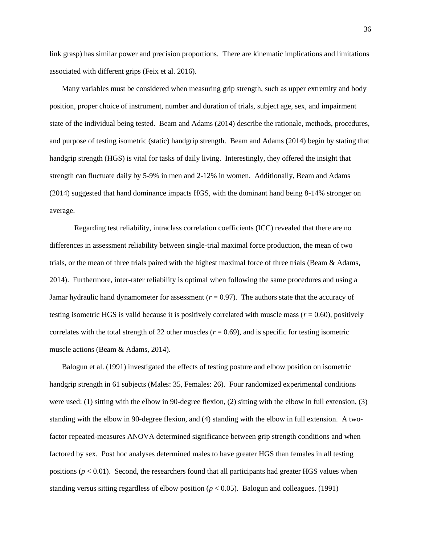link grasp) has similar power and precision proportions. There are kinematic implications and limitations associated with different grips (Feix et al. 2016).

Many variables must be considered when measuring grip strength, such as upper extremity and body position, proper choice of instrument, number and duration of trials, subject age, sex, and impairment state of the individual being tested. Beam and Adams (2014) describe the rationale, methods, procedures, and purpose of testing isometric (static) handgrip strength. Beam and Adams (2014) begin by stating that handgrip strength (HGS) is vital for tasks of daily living. Interestingly, they offered the insight that strength can fluctuate daily by 5-9% in men and 2-12% in women. Additionally, Beam and Adams (2014) suggested that hand dominance impacts HGS, with the dominant hand being 8-14% stronger on average.

Regarding test reliability, intraclass correlation coefficients (ICC) revealed that there are no differences in assessment reliability between single-trial maximal force production, the mean of two trials, or the mean of three trials paired with the highest maximal force of three trials (Beam & Adams, 2014). Furthermore, inter-rater reliability is optimal when following the same procedures and using a Jamar hydraulic hand dynamometer for assessment (*r* = 0.97). The authors state that the accuracy of testing isometric HGS is valid because it is positively correlated with muscle mass ( $r = 0.60$ ), positively correlates with the total strength of 22 other muscles ( $r = 0.69$ ), and is specific for testing isometric muscle actions (Beam & Adams, 2014).

Balogun et al. (1991) investigated the effects of testing posture and elbow position on isometric handgrip strength in 61 subjects (Males: 35, Females: 26). Four randomized experimental conditions were used: (1) sitting with the elbow in 90-degree flexion, (2) sitting with the elbow in full extension, (3) standing with the elbow in 90-degree flexion, and (4) standing with the elbow in full extension. A twofactor repeated-measures ANOVA determined significance between grip strength conditions and when factored by sex. Post hoc analyses determined males to have greater HGS than females in all testing positions  $(p < 0.01)$ . Second, the researchers found that all participants had greater HGS values when standing versus sitting regardless of elbow position ( $p < 0.05$ ). Balogun and colleagues. (1991)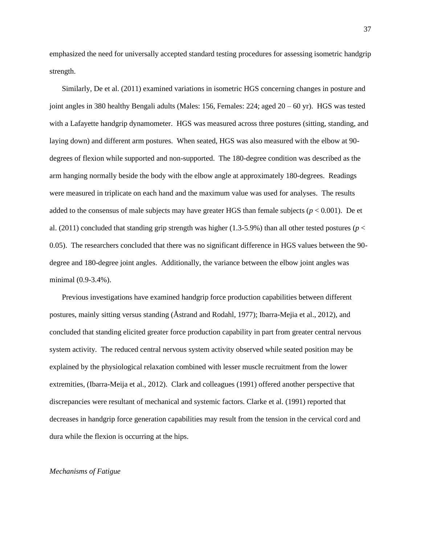emphasized the need for universally accepted standard testing procedures for assessing isometric handgrip strength.

Similarly, De et al. (2011) examined variations in isometric HGS concerning changes in posture and joint angles in 380 healthy Bengali adults (Males: 156, Females: 224; aged 20 – 60 yr). HGS was tested with a Lafayette handgrip dynamometer. HGS was measured across three postures (sitting, standing, and laying down) and different arm postures. When seated, HGS was also measured with the elbow at 90 degrees of flexion while supported and non-supported. The 180-degree condition was described as the arm hanging normally beside the body with the elbow angle at approximately 180-degrees. Readings were measured in triplicate on each hand and the maximum value was used for analyses. The results added to the consensus of male subjects may have greater HGS than female subjects ( $p < 0.001$ ). De et al. (2011) concluded that standing grip strength was higher (1.3-5.9%) than all other tested postures ( $p <$ 0.05). The researchers concluded that there was no significant difference in HGS values between the 90 degree and 180-degree joint angles. Additionally, the variance between the elbow joint angles was minimal (0.9-3.4%).

Previous investigations have examined handgrip force production capabilities between different postures, mainly sitting versus standing (Åstrand and Rodahl, 1977); Ibarra-Mejia et al., 2012), and concluded that standing elicited greater force production capability in part from greater central nervous system activity. The reduced central nervous system activity observed while seated position may be explained by the physiological relaxation combined with lesser muscle recruitment from the lower extremities, (Ibarra-Meija et al., 2012). Clark and colleagues (1991) offered another perspective that discrepancies were resultant of mechanical and systemic factors. Clarke et al. (1991) reported that decreases in handgrip force generation capabilities may result from the tension in the cervical cord and dura while the flexion is occurring at the hips.

#### *Mechanisms of Fatigue*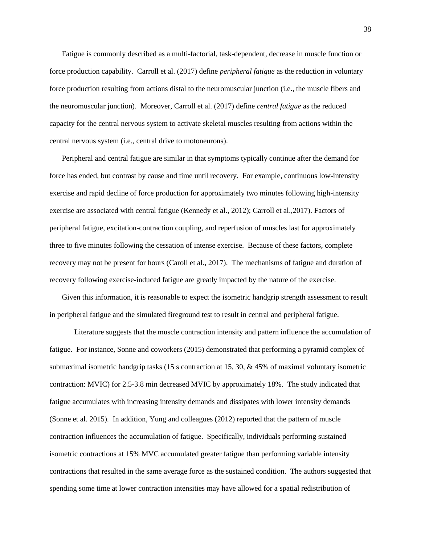Fatigue is commonly described as a multi-factorial, task-dependent, decrease in muscle function or force production capability. Carroll et al. (2017) define *peripheral fatigue* as the reduction in voluntary force production resulting from actions distal to the neuromuscular junction (i.e., the muscle fibers and the neuromuscular junction). Moreover, Carroll et al. (2017) define *central fatigue* as the reduced capacity for the central nervous system to activate skeletal muscles resulting from actions within the central nervous system (i.e., central drive to motoneurons).

Peripheral and central fatigue are similar in that symptoms typically continue after the demand for force has ended, but contrast by cause and time until recovery. For example, continuous low-intensity exercise and rapid decline of force production for approximately two minutes following high-intensity exercise are associated with central fatigue (Kennedy et al., 2012); Carroll et al.,2017). Factors of peripheral fatigue, excitation-contraction coupling, and reperfusion of muscles last for approximately three to five minutes following the cessation of intense exercise. Because of these factors, complete recovery may not be present for hours (Caroll et al., 2017). The mechanisms of fatigue and duration of recovery following exercise-induced fatigue are greatly impacted by the nature of the exercise.

Given this information, it is reasonable to expect the isometric handgrip strength assessment to result in peripheral fatigue and the simulated fireground test to result in central and peripheral fatigue.

Literature suggests that the muscle contraction intensity and pattern influence the accumulation of fatigue. For instance, Sonne and coworkers (2015) demonstrated that performing a pyramid complex of submaximal isometric handgrip tasks (15 s contraction at 15, 30, & 45% of maximal voluntary isometric contraction: MVIC) for 2.5-3.8 min decreased MVIC by approximately 18%. The study indicated that fatigue accumulates with increasing intensity demands and dissipates with lower intensity demands (Sonne et al. 2015). In addition, Yung and colleagues (2012) reported that the pattern of muscle contraction influences the accumulation of fatigue. Specifically, individuals performing sustained isometric contractions at 15% MVC accumulated greater fatigue than performing variable intensity contractions that resulted in the same average force as the sustained condition. The authors suggested that spending some time at lower contraction intensities may have allowed for a spatial redistribution of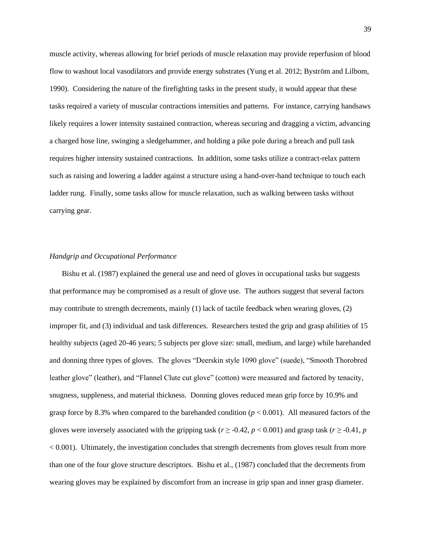muscle activity, whereas allowing for brief periods of muscle relaxation may provide reperfusion of blood flow to washout local vasodilators and provide energy substrates (Yung et al. 2012; Byström and Lilbom, 1990). Considering the nature of the firefighting tasks in the present study, it would appear that these tasks required a variety of muscular contractions intensities and patterns. For instance, carrying handsaws likely requires a lower intensity sustained contraction, whereas securing and dragging a victim, advancing a charged hose line, swinging a sledgehammer, and holding a pike pole during a breach and pull task requires higher intensity sustained contractions. In addition, some tasks utilize a contract-relax pattern such as raising and lowering a ladder against a structure using a hand-over-hand technique to touch each ladder rung. Finally, some tasks allow for muscle relaxation, such as walking between tasks without carrying gear.

#### *Handgrip and Occupational Performance*

Bishu et al. (1987) explained the general use and need of gloves in occupational tasks but suggests that performance may be compromised as a result of glove use. The authors suggest that several factors may contribute to strength decrements, mainly (1) lack of tactile feedback when wearing gloves, (2) improper fit, and (3) individual and task differences. Researchers tested the grip and grasp abilities of 15 healthy subjects (aged 20-46 years; 5 subjects per glove size: small, medium, and large) while barehanded and donning three types of gloves. The gloves "Deerskin style 1090 glove" (suede), "Smooth Thorobred leather glove" (leather), and "Flannel Clute cut glove" (cotton) were measured and factored by tenacity, snugness, suppleness, and material thickness. Donning gloves reduced mean grip force by 10.9% and grasp force by 8.3% when compared to the barehanded condition  $(p < 0.001)$ . All measured factors of the gloves were inversely associated with the gripping task ( $r \ge 0.42$ ,  $p < 0.001$ ) and grasp task ( $r \ge 0.41$ ,  $p$ ) < 0.001). Ultimately, the investigation concludes that strength decrements from gloves result from more than one of the four glove structure descriptors. Bishu et al., (1987) concluded that the decrements from wearing gloves may be explained by discomfort from an increase in grip span and inner grasp diameter.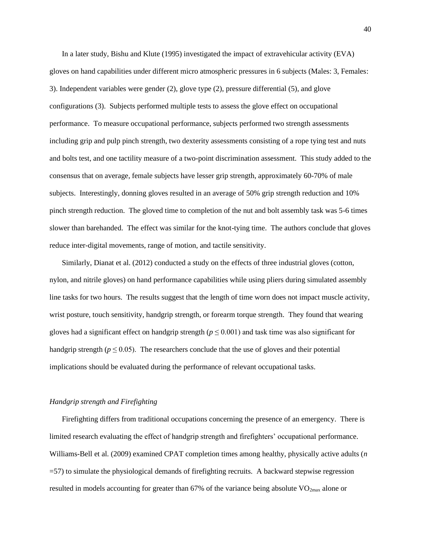In a later study, Bishu and Klute (1995) investigated the impact of extravehicular activity (EVA) gloves on hand capabilities under different micro atmospheric pressures in 6 subjects (Males: 3, Females: 3). Independent variables were gender (2), glove type (2), pressure differential (5), and glove configurations (3). Subjects performed multiple tests to assess the glove effect on occupational performance. To measure occupational performance, subjects performed two strength assessments including grip and pulp pinch strength, two dexterity assessments consisting of a rope tying test and nuts and bolts test, and one tactility measure of a two-point discrimination assessment. This study added to the consensus that on average, female subjects have lesser grip strength, approximately 60-70% of male subjects. Interestingly, donning gloves resulted in an average of 50% grip strength reduction and 10% pinch strength reduction. The gloved time to completion of the nut and bolt assembly task was 5-6 times slower than barehanded. The effect was similar for the knot-tying time. The authors conclude that gloves reduce inter-digital movements, range of motion, and tactile sensitivity.

Similarly, Dianat et al. (2012) conducted a study on the effects of three industrial gloves (cotton, nylon, and nitrile gloves) on hand performance capabilities while using pliers during simulated assembly line tasks for two hours. The results suggest that the length of time worn does not impact muscle activity, wrist posture, touch sensitivity, handgrip strength, or forearm torque strength. They found that wearing gloves had a significant effect on handgrip strength ( $p \le 0.001$ ) and task time was also significant for handgrip strength ( $p \le 0.05$ ). The researchers conclude that the use of gloves and their potential implications should be evaluated during the performance of relevant occupational tasks.

#### *Handgrip strength and Firefighting*

Firefighting differs from traditional occupations concerning the presence of an emergency. There is limited research evaluating the effect of handgrip strength and firefighters' occupational performance. Williams-Bell et al. (2009) examined CPAT completion times among healthy, physically active adults (*n* =57) to simulate the physiological demands of firefighting recruits. A backward stepwise regression resulted in models accounting for greater than 67% of the variance being absolute  $VO_{2max}$  alone or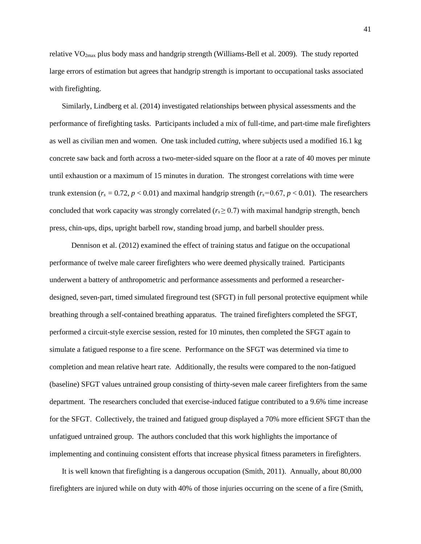relative  $VO_{2max}$  plus body mass and handgrip strength (Williams-Bell et al. 2009). The study reported large errors of estimation but agrees that handgrip strength is important to occupational tasks associated with firefighting.

Similarly, Lindberg et al. (2014) investigated relationships between physical assessments and the performance of firefighting tasks. Participants included a mix of full-time, and part-time male firefighters as well as civilian men and women. One task included *cutting*, where subjects used a modified 16.1 kg concrete saw back and forth across a two-meter-sided square on the floor at a rate of 40 moves per minute until exhaustion or a maximum of 15 minutes in duration. The strongest correlations with time were trunk extension ( $r_s = 0.72$ ,  $p < 0.01$ ) and maximal handgrip strength ( $r_s = 0.67$ ,  $p < 0.01$ ). The researchers concluded that work capacity was strongly correlated ( $r<sub>s</sub> \ge 0.7$ ) with maximal handgrip strength, bench press, chin-ups, dips, upright barbell row, standing broad jump, and barbell shoulder press.

 Dennison et al. (2012) examined the effect of training status and fatigue on the occupational performance of twelve male career firefighters who were deemed physically trained. Participants underwent a battery of anthropometric and performance assessments and performed a researcherdesigned, seven-part, timed simulated fireground test (SFGT) in full personal protective equipment while breathing through a self-contained breathing apparatus. The trained firefighters completed the SFGT, performed a circuit-style exercise session, rested for 10 minutes, then completed the SFGT again to simulate a fatigued response to a fire scene. Performance on the SFGT was determined via time to completion and mean relative heart rate. Additionally, the results were compared to the non-fatigued (baseline) SFGT values untrained group consisting of thirty-seven male career firefighters from the same department. The researchers concluded that exercise-induced fatigue contributed to a 9.6% time increase for the SFGT. Collectively, the trained and fatigued group displayed a 70% more efficient SFGT than the unfatigued untrained group. The authors concluded that this work highlights the importance of implementing and continuing consistent efforts that increase physical fitness parameters in firefighters.

It is well known that firefighting is a dangerous occupation (Smith, 2011). Annually, about 80,000 firefighters are injured while on duty with 40% of those injuries occurring on the scene of a fire (Smith,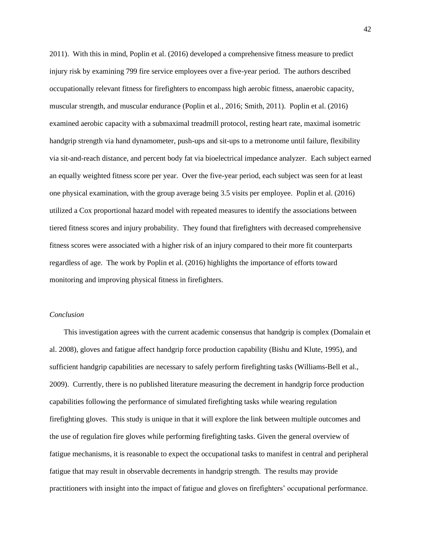2011). With this in mind, Poplin et al. (2016) developed a comprehensive fitness measure to predict injury risk by examining 799 fire service employees over a five-year period. The authors described occupationally relevant fitness for firefighters to encompass high aerobic fitness, anaerobic capacity, muscular strength, and muscular endurance (Poplin et al., 2016; Smith, 2011). Poplin et al. (2016) examined aerobic capacity with a submaximal treadmill protocol, resting heart rate, maximal isometric handgrip strength via hand dynamometer, push-ups and sit-ups to a metronome until failure, flexibility via sit-and-reach distance, and percent body fat via bioelectrical impedance analyzer. Each subject earned an equally weighted fitness score per year. Over the five-year period, each subject was seen for at least one physical examination, with the group average being 3.5 visits per employee. Poplin et al. (2016) utilized a Cox proportional hazard model with repeated measures to identify the associations between tiered fitness scores and injury probability. They found that firefighters with decreased comprehensive fitness scores were associated with a higher risk of an injury compared to their more fit counterparts regardless of age. The work by Poplin et al. (2016) highlights the importance of efforts toward monitoring and improving physical fitness in firefighters.

### *Conclusion*

This investigation agrees with the current academic consensus that handgrip is complex (Domalain et al. 2008), gloves and fatigue affect handgrip force production capability (Bishu and Klute, 1995), and sufficient handgrip capabilities are necessary to safely perform firefighting tasks (Williams-Bell et al., 2009). Currently, there is no published literature measuring the decrement in handgrip force production capabilities following the performance of simulated firefighting tasks while wearing regulation firefighting gloves. This study is unique in that it will explore the link between multiple outcomes and the use of regulation fire gloves while performing firefighting tasks. Given the general overview of fatigue mechanisms, it is reasonable to expect the occupational tasks to manifest in central and peripheral fatigue that may result in observable decrements in handgrip strength. The results may provide practitioners with insight into the impact of fatigue and gloves on firefighters' occupational performance.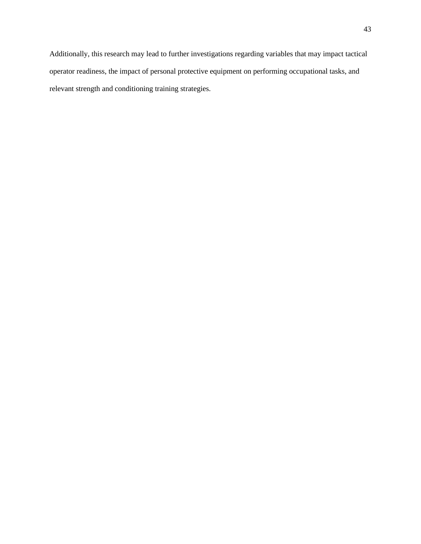Additionally, this research may lead to further investigations regarding variables that may impact tactical operator readiness, the impact of personal protective equipment on performing occupational tasks, and relevant strength and conditioning training strategies.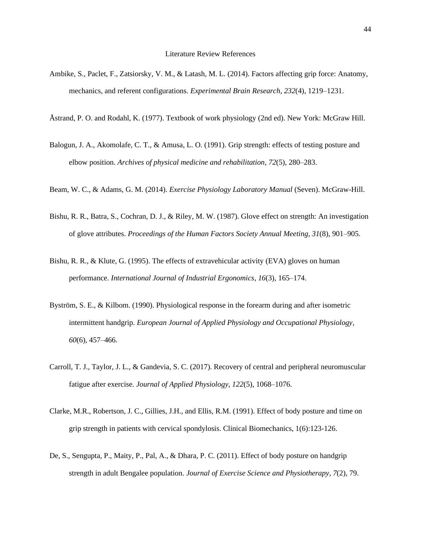- Ambike, S., Paclet, F., Zatsiorsky, V. M., & Latash, M. L. (2014). Factors affecting grip force: Anatomy, mechanics, and referent configurations. *Experimental Brain Research*, *232*(4), 1219–1231.
- Åstrand, P. O. and Rodahl, K. (1977). Textbook of work physiology (2nd ed). New York: McGraw Hill.
- Balogun, J. A., Akomolafe, C. T., & Amusa, L. O. (1991). Grip strength: effects of testing posture and elbow position. *Archives of physical medicine and rehabilitation*, *72*(5), 280–283.
- Beam, W. C., & Adams, G. M. (2014). *Exercise Physiology Laboratory Manual* (Seven). McGraw-Hill.
- Bishu, R. R., Batra, S., Cochran, D. J., & Riley, M. W. (1987). Glove effect on strength: An investigation of glove attributes. *Proceedings of the Human Factors Society Annual Meeting*, *31*(8), 901–905.
- Bishu, R. R., & Klute, G. (1995). The effects of extravehicular activity (EVA) gloves on human performance. *International Journal of Industrial Ergonomics*, *16*(3), 165–174.
- Byström, S. E., & Kilbom. (1990). Physiological response in the forearm during and after isometric intermittent handgrip. *European Journal of Applied Physiology and Occupational Physiology*, *60*(6), 457–466.
- Carroll, T. J., Taylor, J. L., & Gandevia, S. C. (2017). Recovery of central and peripheral neuromuscular fatigue after exercise. *Journal of Applied Physiology*, *122*(5), 1068–1076.
- Clarke, M.R., Robertson, J. C., Gillies, J.H., and Ellis, R.M. (1991). Effect of body posture and time on grip strength in patients with cervical spondylosis. Clinical Biomechanics, 1(6):123-126.
- De, S., Sengupta, P., Maity, P., Pal, A., & Dhara, P. C. (2011). Effect of body posture on handgrip strength in adult Bengalee population. *Journal of Exercise Science and Physiotherapy*, *7*(2), 79.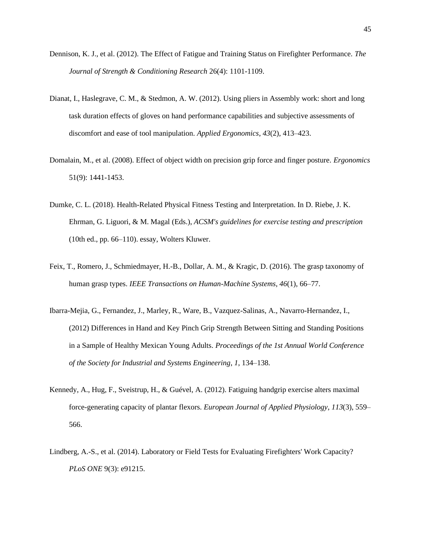- Dennison, K. J., et al. (2012). The Effect of Fatigue and Training Status on Firefighter Performance. *The Journal of Strength & Conditioning Research* 26(4): 1101-1109.
- Dianat, I., Haslegrave, C. M., & Stedmon, A. W. (2012). Using pliers in Assembly work: short and long task duration effects of gloves on hand performance capabilities and subjective assessments of discomfort and ease of tool manipulation. *Applied Ergonomics*, *43*(2), 413–423.
- Domalain, M., et al. (2008). Effect of object width on precision grip force and finger posture. *Ergonomics* 51(9): 1441-1453.
- Dumke, C. L. (2018). Health-Related Physical Fitness Testing and Interpretation. In D. Riebe, J. K. Ehrman, G. Liguori, & M. Magal (Eds.), *ACSM's guidelines for exercise testing and prescription* (10th ed., pp. 66–110). essay, Wolters Kluwer.
- Feix, T., Romero, J., Schmiedmayer, H.-B., Dollar, A. M., & Kragic, D. (2016). The grasp taxonomy of human grasp types. *IEEE Transactions on Human-Machine Systems*, *46*(1), 66–77.
- Ibarra-Mejia, G., Fernandez, J., Marley, R., Ware, B., Vazquez-Salinas, A., Navarro-Hernandez, I., (2012) Differences in Hand and Key Pinch Grip Strength Between Sitting and Standing Positions in a Sample of Healthy Mexican Young Adults. *Proceedings of the 1st Annual World Conference of the Society for Industrial and Systems Engineering*, *1*, 134–138.
- Kennedy, A., Hug, F., Sveistrup, H., & Guével, A. (2012). Fatiguing handgrip exercise alters maximal force-generating capacity of plantar flexors. *European Journal of Applied Physiology*, *113*(3), 559– 566.
- Lindberg, A.-S., et al. (2014). Laboratory or Field Tests for Evaluating Firefighters' Work Capacity? *PLoS ONE* 9(3): e91215.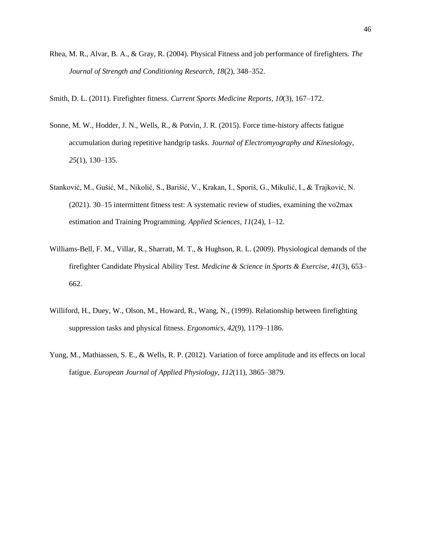Rhea, M. R., Alvar, B. A., & Gray, R. (2004). Physical Fitness and job performance of firefighters. *The Journal of Strength and Conditioning Research*, *18*(2), 348–352.

Smith, D. L. (2011). Firefighter fitness. *Current Sports Medicine Reports*, *10*(3), 167–172.

- Sonne, M. W., Hodder, J. N., Wells, R., & Potvin, J. R. (2015). Force time-history affects fatigue accumulation during repetitive handgrip tasks. *Journal of Electromyography and Kinesiology*, *25*(1), 130–135.
- Stanković, M., Gušić, M., Nikolić, S., Barišić, V., Krakan, I., Sporiš, G., Mikulić, I., & Trajković, N. (2021). 30–15 intermittent fitness test: A systematic review of studies, examining the vo2max estimation and Training Programming. *Applied Sciences*, *11*(24), 1–12.
- Williams-Bell, F. M., Villar, R., Sharratt, M. T., & Hughson, R. L. (2009). Physiological demands of the firefighter Candidate Physical Ability Test. *Medicine & Science in Sports & Exercise*, *41*(3), 653– 662.
- Williford, H., Duey, W., Olson, M., Howard, R., Wang, N., (1999). Relationship between firefighting suppression tasks and physical fitness. *Ergonomics*, *42*(9), 1179–1186.
- Yung, M., Mathiassen, S. E., & Wells, R. P. (2012). Variation of force amplitude and its effects on local fatigue. *European Journal of Applied Physiology*, *112*(11), 3865–3879.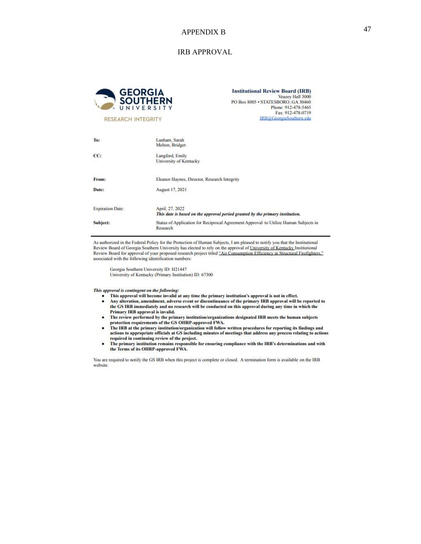# 47 APPENDIX B

#### IRB APPROVAL



**Institutional Review Board (IRB)** Veazey Hall 3000 PO Box 8005 · STATESBORO, GA 30460 Phone: 912-478-5465 Fax: 912-478-0719 IRB@GeorgiaSouthern.edu

**RESEARCH INTEGRITY** 

| To:                     | Lanham, Sarah<br>Melton, Bridget                                                                 |  |  |
|-------------------------|--------------------------------------------------------------------------------------------------|--|--|
| CC:                     | Langford, Emily<br>University of Kentucky                                                        |  |  |
| From:                   | Eleanor Haynes, Director, Research Integrity                                                     |  |  |
| Date:                   | August 17, 2021                                                                                  |  |  |
| <b>Expiration Date:</b> | April, 27, 2022<br>This date is based on the approval period granted by the primary institution. |  |  |
| Subject:                | Status of Application for Reciprocal Agreement Approval to Utilize Human Subjects in<br>Research |  |  |

As authorized in the Federal Policy for the Protection of Human Subjects, I am pleased to notify you that the Institutional Review Board of Georgia Southern University has elected to rely on the approval of University of Kentucky Institutional Review Board for approval of your proposed research project titled "Air Consumption Efficiency in Structural Firefighters." associated with the following identification numbers:

Georgia Southern University ID: H21447 University of Kentucky (Primary Institution) ID: 67300

This approval is contingent on the following:

- This approval will become invalid at any time the primary institution's approval is not in effect.
- $\bullet$ Any alteration, amendment, adverse event or discontinuance of the primary IRB approval will be reported to the GS IRB immediately and no research will be conducted on this approval during any time in which the Primary IRB approval is invalid.
- The review performed by the primary institution/organizations designated IRB meets the human subjects protection requirements of the GS OHRP-approved FWA.
- The IRB at the primary institution/organization will follow written procedures for reporting its findings and<br>actions to appropriate officials at GS including minutes of meetings that address any process relating to action required in continuing review of the project.
- required an containing review of any operation of the primary institution remains responsible for ensuring compliance with the IRB's determinations and with the Terms of its OHRP-approved FWA.

You are required to notify the GS IRB when this project is complete or closed. A termination form is available on the IRB website.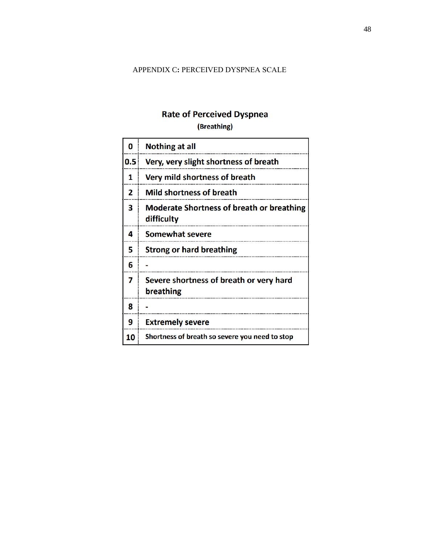# APPENDIX C**:** PERCEIVED DYSPNEA SCALE

# **Rate of Perceived Dyspnea**

(Breathing)

| 0   | <b>Nothing at all</b>                                          |
|-----|----------------------------------------------------------------|
| 0.5 | Very, very slight shortness of breath                          |
| 1   | Very mild shortness of breath                                  |
| 2   | <b>Mild shortness of breath</b>                                |
| 3   | <b>Moderate Shortness of breath or breathing</b><br>difficulty |
| 4   | <b>Somewhat severe</b>                                         |
| 5   | <b>Strong or hard breathing</b>                                |
| 6   |                                                                |
| 7   | Severe shortness of breath or very hard<br>breathing           |
| 8   |                                                                |
| 9   | <b>Extremely severe</b>                                        |
| 10  | Shortness of breath so severe you need to stop                 |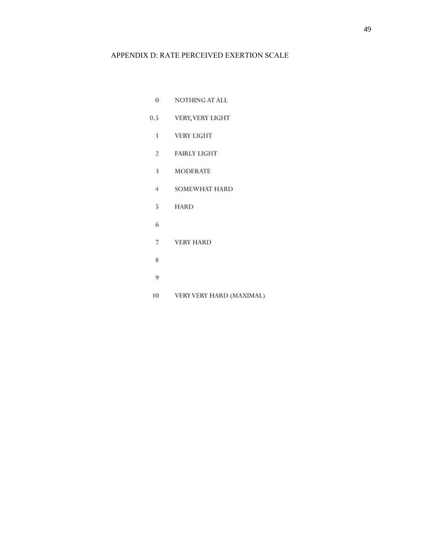## APPENDIX D: RATE PERCEIVED EXERTION SCALE

 $\overline{0}$ NOTHING AT ALL 0.5 VERY, VERY LIGHT  $\mathbf{1}$ **VERY LIGHT**  $\overline{2}$ **FAIRLY LIGHT**  $\overline{3}$ **MODERATE**  $4 -$ SOMEWHAT HARD  $5\overline{5}$ **HARD**  $6\overline{6}$  $7\overline{ }$ **VERY HARD**  $\bf 8$  $\overline{9}$ 10 VERY VERY HARD (MAXIMAL)